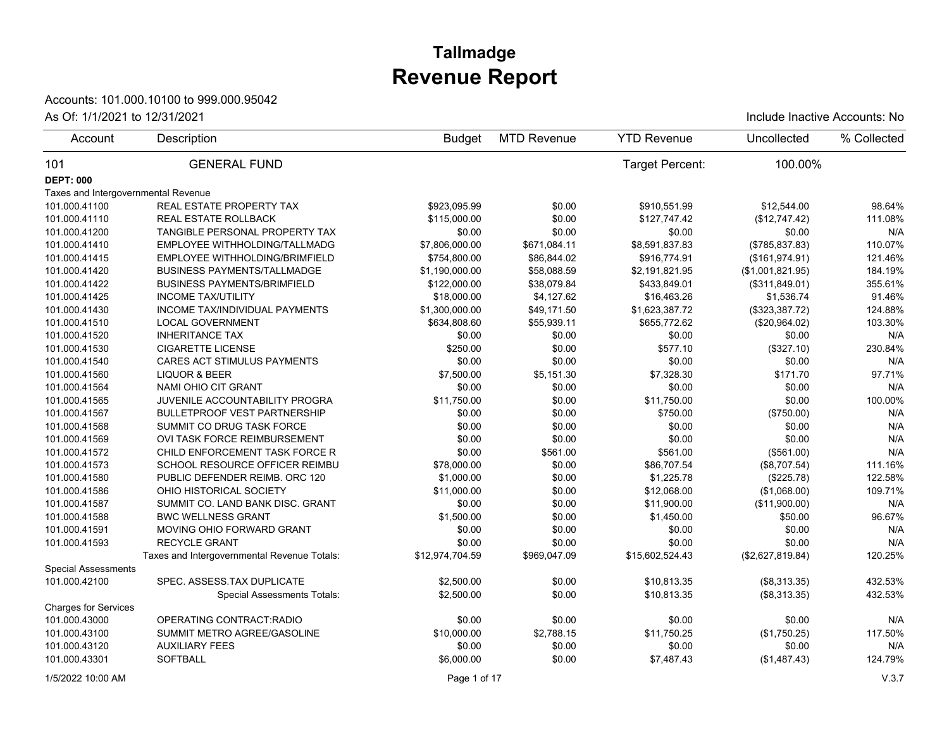# **Revenue Report Tallmadge**

### Accounts: 101.000.10100 to 999.000.95042

#### As Of: 1/1/2021 to 12/31/2021 **Include Inactive Accounts: No**

| Account                             | Description                                 | <b>Budget</b>   | <b>MTD Revenue</b> | <b>YTD Revenue</b> | Uncollected      | % Collected |
|-------------------------------------|---------------------------------------------|-----------------|--------------------|--------------------|------------------|-------------|
| 101                                 | <b>GENERAL FUND</b>                         |                 |                    | Target Percent:    | 100.00%          |             |
| <b>DEPT: 000</b>                    |                                             |                 |                    |                    |                  |             |
| Taxes and Intergovernmental Revenue |                                             |                 |                    |                    |                  |             |
| 101.000.41100                       | <b>REAL ESTATE PROPERTY TAX</b>             | \$923,095.99    | \$0.00             | \$910,551.99       | \$12,544.00      | 98.64%      |
| 101.000.41110                       | <b>REAL ESTATE ROLLBACK</b>                 | \$115,000.00    | \$0.00             | \$127,747.42       | (\$12,747.42)    | 111.08%     |
| 101.000.41200                       | TANGIBLE PERSONAL PROPERTY TAX              | \$0.00          | \$0.00             | \$0.00             | \$0.00           | N/A         |
| 101.000.41410                       | EMPLOYEE WITHHOLDING/TALLMADG               | \$7,806,000.00  | \$671,084.11       | \$8,591,837.83     | (\$785, 837.83)  | 110.07%     |
| 101.000.41415                       | EMPLOYEE WITHHOLDING/BRIMFIELD              | \$754,800.00    | \$86,844.02        | \$916,774.91       | (\$161,974.91)   | 121.46%     |
| 101.000.41420                       | <b>BUSINESS PAYMENTS/TALLMADGE</b>          | \$1,190,000.00  | \$58,088.59        | \$2,191,821.95     | (\$1,001,821.95) | 184.19%     |
| 101.000.41422                       | <b>BUSINESS PAYMENTS/BRIMFIELD</b>          | \$122,000.00    | \$38,079.84        | \$433,849.01       | (\$311,849.01)   | 355.61%     |
| 101.000.41425                       | <b>INCOME TAX/UTILITY</b>                   | \$18,000.00     | \$4,127.62         | \$16,463.26        | \$1,536.74       | 91.46%      |
| 101.000.41430                       | INCOME TAX/INDIVIDUAL PAYMENTS              | \$1,300,000.00  | \$49,171.50        | \$1,623,387.72     | (\$323,387.72)   | 124.88%     |
| 101.000.41510                       | <b>LOCAL GOVERNMENT</b>                     | \$634,808.60    | \$55,939.11        | \$655,772.62       | (\$20,964.02)    | 103.30%     |
| 101.000.41520                       | <b>INHERITANCE TAX</b>                      | \$0.00          | \$0.00             | \$0.00             | \$0.00           | N/A         |
| 101.000.41530                       | <b>CIGARETTE LICENSE</b>                    | \$250.00        | \$0.00             | \$577.10           | (\$327.10)       | 230.84%     |
| 101.000.41540                       | <b>CARES ACT STIMULUS PAYMENTS</b>          | \$0.00          | \$0.00             | \$0.00             | \$0.00           | N/A         |
| 101.000.41560                       | <b>LIQUOR &amp; BEER</b>                    | \$7,500.00      | \$5,151.30         | \$7,328.30         | \$171.70         | 97.71%      |
| 101.000.41564                       | NAMI OHIO CIT GRANT                         | \$0.00          | \$0.00             | \$0.00             | \$0.00           | N/A         |
| 101.000.41565                       | JUVENILE ACCOUNTABILITY PROGRA              | \$11,750.00     | \$0.00             | \$11,750.00        | \$0.00           | 100.00%     |
| 101.000.41567                       | <b>BULLETPROOF VEST PARTNERSHIP</b>         | \$0.00          | \$0.00             | \$750.00           | (\$750.00)       | N/A         |
| 101.000.41568                       | SUMMIT CO DRUG TASK FORCE                   | \$0.00          | \$0.00             | \$0.00             | \$0.00           | N/A         |
| 101.000.41569                       | OVI TASK FORCE REIMBURSEMENT                | \$0.00          | \$0.00             | \$0.00             | \$0.00           | N/A         |
| 101.000.41572                       | CHILD ENFORCEMENT TASK FORCE R              | \$0.00          | \$561.00           | \$561.00           | (\$561.00)       | N/A         |
| 101.000.41573                       | SCHOOL RESOURCE OFFICER REIMBU              | \$78,000.00     | \$0.00             | \$86,707.54        | (\$8,707.54)     | 111.16%     |
| 101.000.41580                       | PUBLIC DEFENDER REIMB. ORC 120              | \$1,000.00      | \$0.00             | \$1,225.78         | (\$225.78)       | 122.58%     |
| 101.000.41586                       | OHIO HISTORICAL SOCIETY                     | \$11,000.00     | \$0.00             | \$12,068.00        | (\$1,068.00)     | 109.71%     |
| 101.000.41587                       | SUMMIT CO. LAND BANK DISC. GRANT            | \$0.00          | \$0.00             | \$11,900.00        | (\$11,900.00)    | N/A         |
| 101.000.41588                       | <b>BWC WELLNESS GRANT</b>                   | \$1,500.00      | \$0.00             | \$1,450.00         | \$50.00          | 96.67%      |
| 101.000.41591                       | MOVING OHIO FORWARD GRANT                   | \$0.00          | \$0.00             | \$0.00             | \$0.00           | N/A         |
| 101.000.41593                       | <b>RECYCLE GRANT</b>                        | \$0.00          | \$0.00             | \$0.00             | \$0.00           | N/A         |
|                                     | Taxes and Intergovernmental Revenue Totals: | \$12,974,704.59 | \$969,047.09       | \$15,602,524.43    | (\$2,627,819.84) | 120.25%     |
| <b>Special Assessments</b>          |                                             |                 |                    |                    |                  |             |
| 101.000.42100                       | SPEC. ASSESS TAX DUPLICATE                  | \$2,500.00      | \$0.00             | \$10,813.35        | (\$8,313.35)     | 432.53%     |
|                                     | <b>Special Assessments Totals:</b>          | \$2,500.00      | \$0.00             | \$10.813.35        | (\$8,313.35)     | 432.53%     |
| <b>Charges for Services</b>         |                                             |                 |                    |                    |                  |             |
| 101.000.43000                       | OPERATING CONTRACT RADIO                    | \$0.00          | \$0.00             | \$0.00             | \$0.00           | N/A         |
| 101.000.43100                       | SUMMIT METRO AGREE/GASOLINE                 | \$10,000.00     | \$2,788.15         | \$11,750.25        | (\$1,750.25)     | 117.50%     |
| 101.000.43120                       | <b>AUXILIARY FEES</b>                       | \$0.00          | \$0.00             | \$0.00             | \$0.00           | N/A         |
| 101.000.43301                       | <b>SOFTBALL</b>                             | \$6,000.00      | \$0.00             | \$7,487.43         | (\$1,487.43)     | 124.79%     |
|                                     |                                             |                 |                    |                    |                  |             |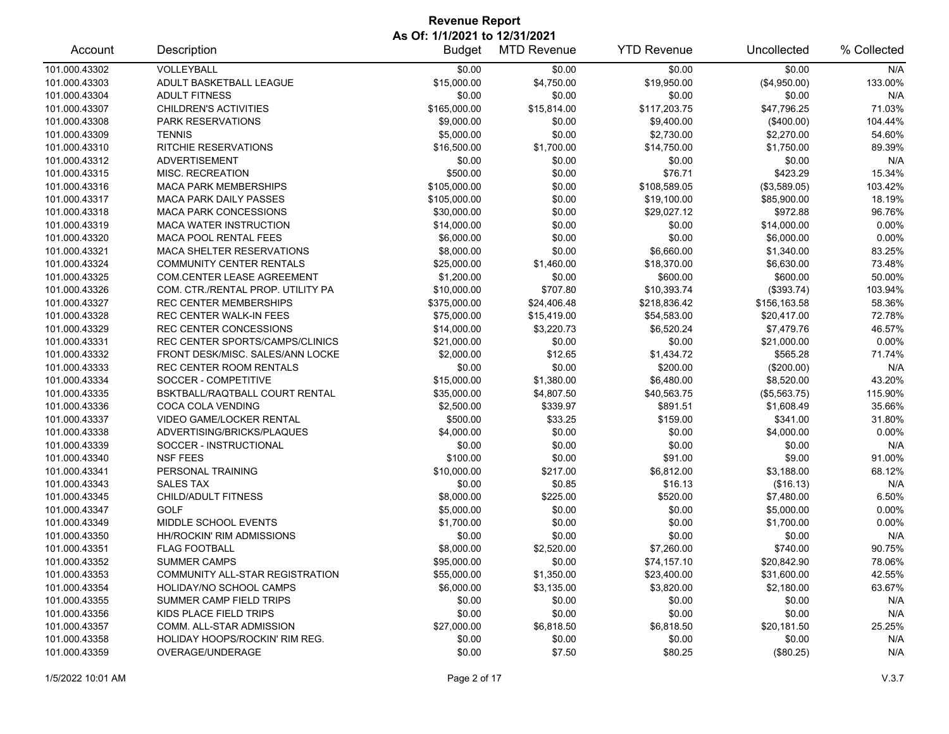| Account       | Description                       | <b>Budget</b> | <b>MTD Revenue</b> | <b>YTD Revenue</b> | Uncollected  | % Collected |
|---------------|-----------------------------------|---------------|--------------------|--------------------|--------------|-------------|
| 101.000.43302 | VOLLEYBALL                        | \$0.00        | \$0.00             | \$0.00             | \$0.00       | N/A         |
| 101.000.43303 | ADULT BASKETBALL LEAGUE           | \$15,000.00   | \$4,750.00         | \$19,950.00        | (\$4,950.00) | 133.00%     |
| 101.000.43304 | <b>ADULT FITNESS</b>              | \$0.00        | \$0.00             | \$0.00             | \$0.00       | N/A         |
| 101.000.43307 | CHILDREN'S ACTIVITIES             | \$165,000.00  | \$15,814.00        | \$117,203.75       | \$47,796.25  | 71.03%      |
| 101.000.43308 | <b>PARK RESERVATIONS</b>          | \$9,000.00    | \$0.00             | \$9,400.00         | (\$400.00)   | 104.44%     |
| 101.000.43309 | <b>TENNIS</b>                     | \$5,000.00    | \$0.00             | \$2,730.00         | \$2,270.00   | 54.60%      |
| 101.000.43310 | <b>RITCHIE RESERVATIONS</b>       | \$16,500.00   | \$1,700.00         | \$14,750.00        | \$1,750.00   | 89.39%      |
| 101.000.43312 | <b>ADVERTISEMENT</b>              | \$0.00        | \$0.00             | \$0.00             | \$0.00       | N/A         |
| 101.000.43315 | MISC. RECREATION                  | \$500.00      | \$0.00             | \$76.71            | \$423.29     | 15.34%      |
| 101.000.43316 | <b>MACA PARK MEMBERSHIPS</b>      | \$105,000.00  | \$0.00             | \$108,589.05       | (\$3,589.05) | 103.42%     |
| 101.000.43317 | MACA PARK DAILY PASSES            | \$105,000.00  | \$0.00             | \$19,100.00        | \$85,900.00  | 18.19%      |
| 101.000.43318 | <b>MACA PARK CONCESSIONS</b>      | \$30,000.00   | \$0.00             | \$29,027.12        | \$972.88     | 96.76%      |
| 101.000.43319 | <b>MACA WATER INSTRUCTION</b>     | \$14,000.00   | \$0.00             | \$0.00             | \$14,000.00  | 0.00%       |
| 101.000.43320 | <b>MACA POOL RENTAL FEES</b>      | \$6,000.00    | \$0.00             | \$0.00             | \$6,000.00   | 0.00%       |
| 101.000.43321 | <b>MACA SHELTER RESERVATIONS</b>  | \$8,000.00    | \$0.00             | \$6,660.00         | \$1,340.00   | 83.25%      |
| 101.000.43324 | <b>COMMUNITY CENTER RENTALS</b>   | \$25,000.00   | \$1,460.00         | \$18,370.00        | \$6,630.00   | 73.48%      |
| 101.000.43325 | COM.CENTER LEASE AGREEMENT        | \$1,200.00    | \$0.00             | \$600.00           | \$600.00     | 50.00%      |
| 101.000.43326 | COM. CTR./RENTAL PROP. UTILITY PA | \$10,000.00   | \$707.80           | \$10,393.74        | (\$393.74)   | 103.94%     |
| 101.000.43327 | <b>REC CENTER MEMBERSHIPS</b>     | \$375,000.00  | \$24,406.48        | \$218,836.42       | \$156,163.58 | 58.36%      |
| 101.000.43328 | <b>REC CENTER WALK-IN FEES</b>    | \$75,000.00   | \$15,419.00        | \$54,583.00        | \$20,417.00  | 72.78%      |
| 101.000.43329 | <b>REC CENTER CONCESSIONS</b>     | \$14,000.00   | \$3,220.73         | \$6,520.24         | \$7,479.76   | 46.57%      |
| 101.000.43331 | REC CENTER SPORTS/CAMPS/CLINICS   | \$21,000.00   | \$0.00             | \$0.00             | \$21,000.00  | 0.00%       |
| 101.000.43332 | FRONT DESK/MISC. SALES/ANN LOCKE  | \$2,000.00    | \$12.65            | \$1,434.72         | \$565.28     | 71.74%      |
| 101.000.43333 | REC CENTER ROOM RENTALS           | \$0.00        | \$0.00             | \$200.00           | (\$200.00)   | N/A         |
| 101.000.43334 | SOCCER - COMPETITIVE              | \$15,000.00   | \$1,380.00         | \$6,480.00         | \$8,520.00   | 43.20%      |
| 101.000.43335 | BSKTBALL/RAQTBALL COURT RENTAL    | \$35,000.00   | \$4,807.50         | \$40,563.75        | (\$5,563.75) | 115.90%     |
| 101.000.43336 | COCA COLA VENDING                 | \$2,500.00    | \$339.97           | \$891.51           | \$1,608.49   | 35.66%      |
| 101.000.43337 | <b>VIDEO GAME/LOCKER RENTAL</b>   | \$500.00      | \$33.25            | \$159.00           | \$341.00     | 31.80%      |
| 101.000.43338 | ADVERTISING/BRICKS/PLAQUES        | \$4,000.00    | \$0.00             | \$0.00             | \$4,000.00   | 0.00%       |
| 101.000.43339 | SOCCER - INSTRUCTIONAL            | \$0.00        | \$0.00             | \$0.00             | \$0.00       | N/A         |
| 101.000.43340 | <b>NSF FEES</b>                   | \$100.00      | \$0.00             | \$91.00            | \$9.00       | 91.00%      |
| 101.000.43341 | PERSONAL TRAINING                 | \$10,000.00   | \$217.00           | \$6,812.00         | \$3,188.00   | 68.12%      |
| 101.000.43343 | <b>SALES TAX</b>                  | \$0.00        | \$0.85             | \$16.13            | (\$16.13)    | N/A         |
| 101.000.43345 | <b>CHILD/ADULT FITNESS</b>        | \$8,000.00    | \$225.00           | \$520.00           | \$7,480.00   | 6.50%       |
| 101.000.43347 | <b>GOLF</b>                       | \$5,000.00    | \$0.00             | \$0.00             | \$5,000.00   | 0.00%       |
| 101.000.43349 | MIDDLE SCHOOL EVENTS              | \$1,700.00    | \$0.00             | \$0.00             | \$1,700.00   | 0.00%       |
| 101.000.43350 | <b>HH/ROCKIN' RIM ADMISSIONS</b>  | \$0.00        | \$0.00             | \$0.00             | \$0.00       | N/A         |
| 101.000.43351 | <b>FLAG FOOTBALL</b>              | \$8,000.00    | \$2,520.00         | \$7,260.00         | \$740.00     | 90.75%      |
| 101.000.43352 | <b>SUMMER CAMPS</b>               | \$95,000.00   | \$0.00             | \$74,157.10        | \$20,842.90  | 78.06%      |
| 101.000.43353 | COMMUNITY ALL-STAR REGISTRATION   | \$55,000.00   | \$1,350.00         | \$23,400.00        | \$31,600.00  | 42.55%      |
| 101.000.43354 | <b>HOLIDAY/NO SCHOOL CAMPS</b>    | \$6,000.00    | \$3,135.00         | \$3,820.00         | \$2,180.00   | 63.67%      |
| 101.000.43355 | SUMMER CAMP FIELD TRIPS           | \$0.00        | \$0.00             | \$0.00             | \$0.00       | N/A         |
| 101.000.43356 | KIDS PLACE FIELD TRIPS            | \$0.00        | \$0.00             | \$0.00             | \$0.00       | N/A         |
| 101.000.43357 | COMM. ALL-STAR ADMISSION          | \$27,000.00   | \$6,818.50         | \$6,818.50         | \$20,181.50  | 25.25%      |
| 101.000.43358 | HOLIDAY HOOPS/ROCKIN' RIM REG.    | \$0.00        | \$0.00             | \$0.00             | \$0.00       | N/A         |
| 101.000.43359 | OVERAGE/UNDERAGE                  | \$0.00        | \$7.50             | \$80.25            | (\$80.25)    | N/A         |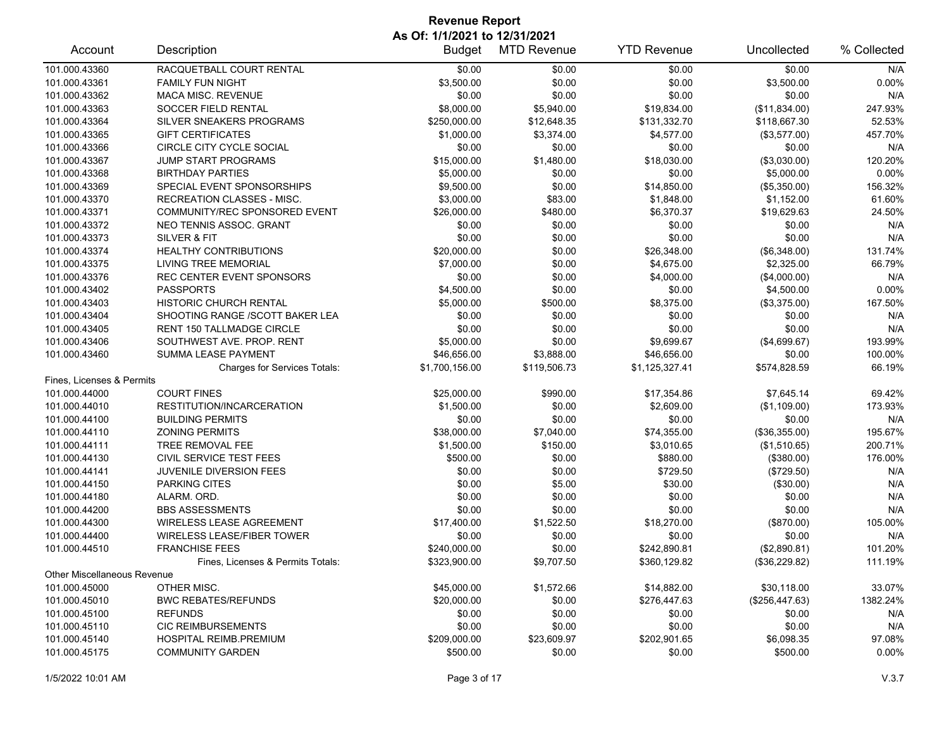| Account                     | Description                         | <b>Budget</b>  | <b>MTD Revenue</b> | <b>YTD Revenue</b> | Uncollected    | % Collected |
|-----------------------------|-------------------------------------|----------------|--------------------|--------------------|----------------|-------------|
| 101.000.43360               | RACQUETBALL COURT RENTAL            | \$0.00         | \$0.00             | \$0.00             | \$0.00         | N/A         |
| 101.000.43361               | <b>FAMILY FUN NIGHT</b>             | \$3,500.00     | \$0.00             | \$0.00             | \$3,500.00     | 0.00%       |
| 101.000.43362               | <b>MACA MISC. REVENUE</b>           | \$0.00         | \$0.00             | \$0.00             | \$0.00         | N/A         |
| 101.000.43363               | <b>SOCCER FIELD RENTAL</b>          | \$8,000.00     | \$5,940.00         | \$19,834.00        | (\$11,834.00)  | 247.93%     |
| 101.000.43364               | SILVER SNEAKERS PROGRAMS            | \$250,000.00   | \$12,648.35        | \$131,332.70       | \$118,667.30   | 52.53%      |
| 101.000.43365               | <b>GIFT CERTIFICATES</b>            | \$1,000.00     | \$3,374.00         | \$4,577.00         | (\$3,577.00)   | 457.70%     |
| 101.000.43366               | CIRCLE CITY CYCLE SOCIAL            | \$0.00         | \$0.00             | \$0.00             | \$0.00         | N/A         |
| 101.000.43367               | JUMP START PROGRAMS                 | \$15,000.00    | \$1,480.00         | \$18,030.00        | (\$3,030.00)   | 120.20%     |
| 101.000.43368               | <b>BIRTHDAY PARTIES</b>             | \$5,000.00     | \$0.00             | \$0.00             | \$5,000.00     | 0.00%       |
| 101.000.43369               | SPECIAL EVENT SPONSORSHIPS          | \$9,500.00     | \$0.00             | \$14,850.00        | (\$5,350.00)   | 156.32%     |
| 101.000.43370               | <b>RECREATION CLASSES - MISC.</b>   | \$3,000.00     | \$83.00            | \$1,848.00         | \$1,152.00     | 61.60%      |
| 101.000.43371               | COMMUNITY/REC SPONSORED EVENT       | \$26,000.00    | \$480.00           | \$6,370.37         | \$19,629.63    | 24.50%      |
| 101.000.43372               | NEO TENNIS ASSOC. GRANT             | \$0.00         | \$0.00             | \$0.00             | \$0.00         | N/A         |
| 101.000.43373               | SILVER & FIT                        | \$0.00         | \$0.00             | \$0.00             | \$0.00         | N/A         |
| 101.000.43374               | <b>HEALTHY CONTRIBUTIONS</b>        | \$20,000.00    | \$0.00             | \$26,348.00        | (\$6,348.00)   | 131.74%     |
| 101.000.43375               | <b>LIVING TREE MEMORIAL</b>         | \$7,000.00     | \$0.00             | \$4,675.00         | \$2,325.00     | 66.79%      |
| 101.000.43376               | REC CENTER EVENT SPONSORS           | \$0.00         | \$0.00             | \$4,000.00         | (\$4,000.00)   | N/A         |
| 101.000.43402               | <b>PASSPORTS</b>                    | \$4,500.00     | \$0.00             | \$0.00             | \$4,500.00     | 0.00%       |
| 101.000.43403               | <b>HISTORIC CHURCH RENTAL</b>       | \$5,000.00     | \$500.00           | \$8,375.00         | (\$3,375.00)   | 167.50%     |
| 101.000.43404               | SHOOTING RANGE /SCOTT BAKER LEA     | \$0.00         | \$0.00             | \$0.00             | \$0.00         | N/A         |
| 101.000.43405               | RENT 150 TALLMADGE CIRCLE           | \$0.00         | \$0.00             | \$0.00             | \$0.00         | N/A         |
| 101.000.43406               | SOUTHWEST AVE. PROP. RENT           | \$5,000.00     | \$0.00             | \$9,699.67         | (\$4,699.67)   | 193.99%     |
| 101.000.43460               | SUMMA LEASE PAYMENT                 | \$46,656.00    | \$3,888.00         | \$46,656.00        | \$0.00         | 100.00%     |
|                             | <b>Charges for Services Totals:</b> | \$1,700,156.00 | \$119,506.73       | \$1,125,327.41     | \$574,828.59   | 66.19%      |
| Fines, Licenses & Permits   |                                     |                |                    |                    |                |             |
| 101.000.44000               | <b>COURT FINES</b>                  | \$25,000.00    | \$990.00           | \$17,354.86        | \$7,645.14     | 69.42%      |
| 101.000.44010               | RESTITUTION/INCARCERATION           | \$1,500.00     | \$0.00             | \$2,609.00         | (\$1,109.00)   | 173.93%     |
| 101.000.44100               | <b>BUILDING PERMITS</b>             | \$0.00         | \$0.00             | \$0.00             | \$0.00         | N/A         |
| 101.000.44110               | <b>ZONING PERMITS</b>               | \$38,000.00    | \$7,040.00         | \$74,355.00        | (\$36,355.00)  | 195.67%     |
| 101.000.44111               | TREE REMOVAL FEE                    | \$1,500.00     | \$150.00           | \$3,010.65         | (\$1,510.65)   | 200.71%     |
| 101.000.44130               | CIVIL SERVICE TEST FEES             | \$500.00       | \$0.00             | \$880.00           | (\$380.00)     | 176.00%     |
| 101.000.44141               | JUVENILE DIVERSION FEES             | \$0.00         | \$0.00             | \$729.50           | $(\$729.50)$   | N/A         |
| 101.000.44150               | PARKING CITES                       | \$0.00         | \$5.00             | \$30.00            | (\$30.00)      | N/A         |
| 101.000.44180               | ALARM. ORD.                         | \$0.00         | \$0.00             | \$0.00             | \$0.00         | N/A         |
| 101.000.44200               | <b>BBS ASSESSMENTS</b>              | \$0.00         | \$0.00             | \$0.00             | \$0.00         | N/A         |
| 101.000.44300               | <b>WIRELESS LEASE AGREEMENT</b>     | \$17,400.00    | \$1,522.50         | \$18,270.00        | (\$870.00)     | 105.00%     |
| 101.000.44400               | <b>WIRELESS LEASE/FIBER TOWER</b>   | \$0.00         | \$0.00             | \$0.00             | \$0.00         | N/A         |
| 101.000.44510               | <b>FRANCHISE FEES</b>               | \$240,000.00   | \$0.00             | \$242,890.81       | (\$2,890.81)   | 101.20%     |
|                             | Fines, Licenses & Permits Totals:   | \$323,900.00   | \$9,707.50         | \$360,129.82       | (\$36,229.82)  | 111.19%     |
| Other Miscellaneous Revenue |                                     |                |                    |                    |                |             |
| 101.000.45000               | OTHER MISC.                         | \$45,000.00    | \$1,572.66         | \$14,882.00        | \$30,118.00    | 33.07%      |
| 101.000.45010               | <b>BWC REBATES/REFUNDS</b>          | \$20,000.00    | \$0.00             | \$276,447.63       | (\$256,447.63) | 1382.24%    |
| 101.000.45100               | <b>REFUNDS</b>                      | \$0.00         | \$0.00             | \$0.00             | \$0.00         | N/A         |
| 101.000.45110               | <b>CIC REIMBURSEMENTS</b>           | \$0.00         | \$0.00             | \$0.00             | \$0.00         | N/A         |
| 101.000.45140               | <b>HOSPITAL REIMB PREMIUM</b>       | \$209,000.00   | \$23,609.97        | \$202,901.65       | \$6,098.35     | 97.08%      |
| 101.000.45175               | <b>COMMUNITY GARDEN</b>             | \$500.00       | \$0.00             | \$0.00             | \$500.00       | 0.00%       |
|                             |                                     |                |                    |                    |                |             |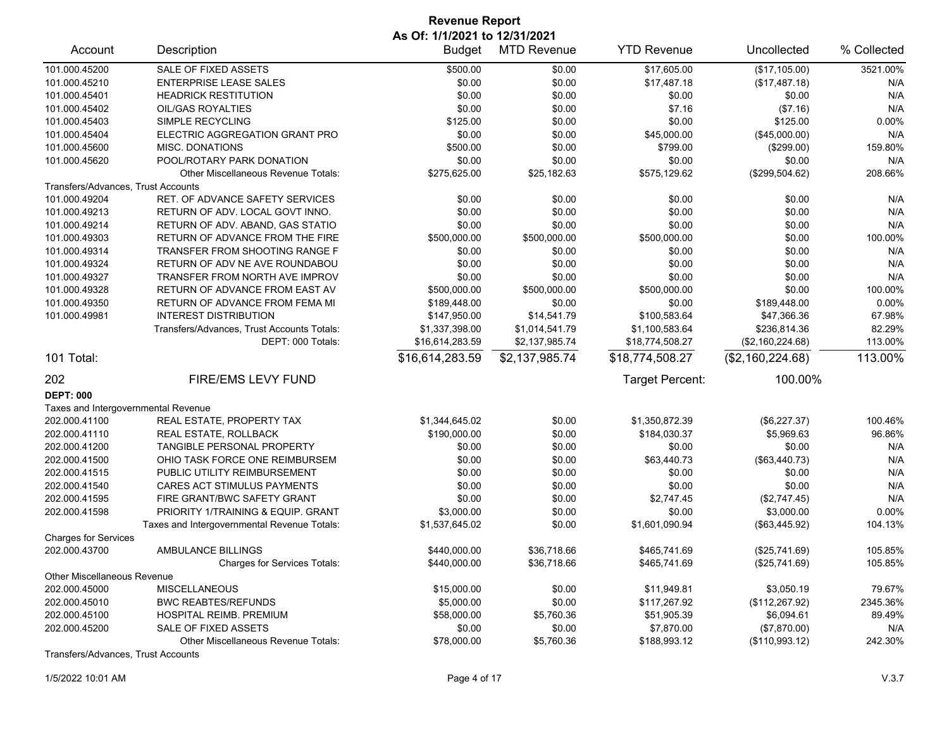| Account                                      | Description                                 | <b>Budget</b>   | <b>MTD Revenue</b> | <b>YTD Revenue</b> | Uncollected                | % Collected |
|----------------------------------------------|---------------------------------------------|-----------------|--------------------|--------------------|----------------------------|-------------|
| 101.000.45200                                | SALE OF FIXED ASSETS                        | \$500.00        | \$0.00             | \$17,605.00        | (\$17,105.00)              | 3521.00%    |
| 101.000.45210                                | <b>ENTERPRISE LEASE SALES</b>               | \$0.00          | \$0.00             | \$17,487.18        | (\$17,487.18)              | N/A         |
| 101.000.45401                                | <b>HEADRICK RESTITUTION</b>                 | \$0.00          | \$0.00             | \$0.00             | \$0.00                     | N/A         |
| 101.000.45402                                | OIL/GAS ROYALTIES                           | \$0.00          | \$0.00             | \$7.16             | (\$7.16)                   | N/A         |
| 101.000.45403                                | SIMPLE RECYCLING                            | \$125.00        | \$0.00             | \$0.00             | \$125.00                   | 0.00%       |
| 101.000.45404                                | ELECTRIC AGGREGATION GRANT PRO              | \$0.00          | \$0.00             | \$45,000.00        | (\$45,000.00)              | N/A         |
| 101.000.45600                                | <b>MISC. DONATIONS</b>                      | \$500.00        | \$0.00             | \$799.00           | $(\$299.00)$               | 159.80%     |
| 101.000.45620                                | POOL/ROTARY PARK DONATION                   | \$0.00          | \$0.00             | \$0.00             | \$0.00                     | N/A         |
|                                              | Other Miscellaneous Revenue Totals:         | \$275,625.00    | \$25,182.63        | \$575,129.62       | (\$299,504.62)             | 208.66%     |
| Transfers/Advances, Trust Accounts           |                                             |                 |                    |                    |                            |             |
| 101.000.49204                                | RET. OF ADVANCE SAFETY SERVICES             | \$0.00          | \$0.00             | \$0.00             | \$0.00                     | N/A         |
| 101.000.49213                                | RETURN OF ADV. LOCAL GOVT INNO.             | \$0.00          | \$0.00             | \$0.00             | \$0.00                     | N/A         |
| 101.000.49214                                | RETURN OF ADV. ABAND, GAS STATIO            | \$0.00          | \$0.00             | \$0.00             | \$0.00                     | N/A         |
| 101.000.49303                                | RETURN OF ADVANCE FROM THE FIRE             | \$500,000.00    | \$500,000.00       | \$500,000.00       | \$0.00                     | 100.00%     |
| 101.000.49314                                | TRANSFER FROM SHOOTING RANGE F              | \$0.00          | \$0.00             | \$0.00             | \$0.00                     | N/A         |
| 101.000.49324                                | RETURN OF ADV NE AVE ROUNDABOU              | \$0.00          | \$0.00             | \$0.00             | \$0.00                     | N/A         |
| 101.000.49327                                | TRANSFER FROM NORTH AVE IMPROV              | \$0.00          | \$0.00             | \$0.00             | \$0.00                     | N/A         |
| 101.000.49328                                | RETURN OF ADVANCE FROM EAST AV              | \$500,000.00    | \$500,000.00       | \$500,000.00       | \$0.00                     | 100.00%     |
| 101.000.49350                                | RETURN OF ADVANCE FROM FEMA MI              | \$189,448.00    | \$0.00             | \$0.00             | \$189,448.00               | 0.00%       |
| 101.000.49981                                | <b>INTEREST DISTRIBUTION</b>                | \$147,950.00    | \$14,541.79        | \$100,583.64       | \$47,366.36                | 67.98%      |
|                                              | Transfers/Advances, Trust Accounts Totals:  | \$1,337,398.00  | \$1,014,541.79     | \$1,100,583.64     | \$236,814.36               | 82.29%      |
|                                              | DEPT: 000 Totals:                           | \$16,614,283.59 | \$2,137,985.74     | \$18,774,508.27    | (\$2,160,224.68)           | 113.00%     |
| 101 Total:                                   |                                             | \$16,614,283.59 | \$2,137,985.74     | \$18,774,508.27    | (\$2,160,224.68)           | 113.00%     |
| 202                                          | FIRE/EMS LEVY FUND                          |                 |                    | Target Percent:    | 100.00%                    |             |
| <b>DEPT: 000</b>                             |                                             |                 |                    |                    |                            |             |
| Taxes and Intergovernmental Revenue          |                                             |                 |                    |                    |                            |             |
| 202.000.41100                                | REAL ESTATE, PROPERTY TAX                   | \$1,344,645.02  | \$0.00             | \$1,350,872.39     | (\$6,227.37)               | 100.46%     |
| 202.000.41110                                | <b>REAL ESTATE, ROLLBACK</b>                | \$190,000.00    | \$0.00             | \$184,030.37       | \$5,969.63                 | 96.86%      |
| 202.000.41200                                | TANGIBLE PERSONAL PROPERTY                  | \$0.00          | \$0.00             | \$0.00             | \$0.00                     | N/A         |
| 202.000.41500                                | OHIO TASK FORCE ONE REIMBURSEM              | \$0.00          | \$0.00             | \$63,440.73        | (\$63,440.73)              | N/A         |
| 202.000.41515                                | PUBLIC UTILITY REIMBURSEMENT                | \$0.00          | \$0.00             | \$0.00             | \$0.00                     | N/A         |
| 202.000.41540                                | CARES ACT STIMULUS PAYMENTS                 | \$0.00          | \$0.00             | \$0.00             | \$0.00                     | N/A         |
| 202.000.41595                                | FIRE GRANT/BWC SAFETY GRANT                 | \$0.00          | \$0.00             | \$2,747.45         |                            | N/A         |
| 202.000.41598                                | PRIORITY 1/TRAINING & EQUIP. GRANT          |                 | \$0.00             |                    | (\$2,747.45)<br>\$3,000.00 | 0.00%       |
|                                              |                                             | \$3,000.00      |                    | \$0.00             |                            |             |
|                                              | Taxes and Intergovernmental Revenue Totals: | \$1,537,645.02  | \$0.00             | \$1,601,090.94     | (\$63,445.92)              | 104.13%     |
| <b>Charges for Services</b><br>202.000.43700 |                                             |                 |                    |                    |                            | 105.85%     |
|                                              | AMBULANCE BILLINGS                          | \$440,000.00    | \$36,718.66        | \$465,741.69       | (\$25,741.69)              |             |
|                                              | <b>Charges for Services Totals:</b>         | \$440,000.00    | \$36,718.66        | \$465,741.69       | (\$25,741.69)              | 105.85%     |
| <b>Other Miscellaneous Revenue</b>           |                                             |                 |                    |                    |                            |             |
| 202.000.45000                                | MISCELLANEOUS                               | \$15,000.00     | \$0.00             | \$11,949.81        | \$3,050.19                 | 79.67%      |
| 202.000.45010                                | <b>BWC REABTES/REFUNDS</b>                  | \$5,000.00      | \$0.00             | \$117,267.92       | (\$112, 267.92)            | 2345.36%    |
| 202.000.45100                                | HOSPITAL REIMB. PREMIUM                     | \$58,000.00     | \$5,760.36         | \$51,905.39        | \$6,094.61                 | 89.49%      |
| 202.000.45200                                | SALE OF FIXED ASSETS                        | \$0.00          | \$0.00             | \$7,870.00         | (\$7,870.00)               | N/A         |
|                                              | Other Miscellaneous Revenue Totals:         | \$78,000.00     | \$5,760.36         | \$188,993.12       | (\$110,993.12)             | 242.30%     |
| Transfers/Advances, Trust Accounts           |                                             |                 |                    |                    |                            |             |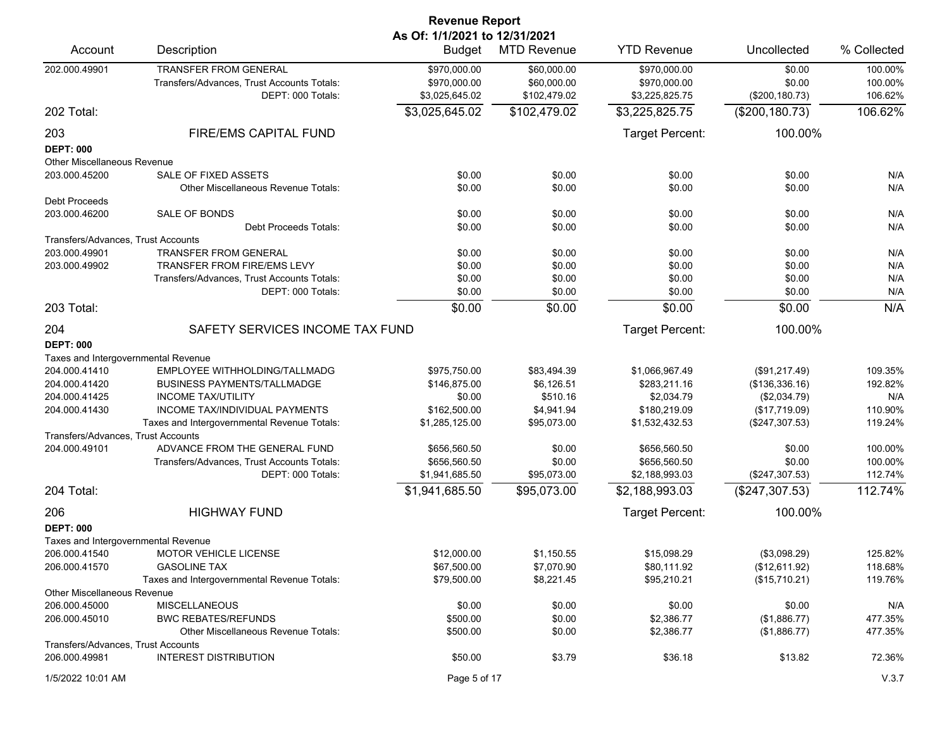| <b>Revenue Report</b>               |                                                                                                 |                                                |                                            |                                                |                                     |                               |  |
|-------------------------------------|-------------------------------------------------------------------------------------------------|------------------------------------------------|--------------------------------------------|------------------------------------------------|-------------------------------------|-------------------------------|--|
| Account                             | Description                                                                                     | As Of: 1/1/2021 to 12/31/2021<br><b>Budget</b> | <b>MTD Revenue</b>                         | <b>YTD Revenue</b>                             | Uncollected                         | % Collected                   |  |
| 202.000.49901                       | <b>TRANSFER FROM GENERAL</b><br>Transfers/Advances, Trust Accounts Totals:<br>DEPT: 000 Totals: | \$970,000.00<br>\$970,000.00<br>\$3,025,645.02 | \$60,000.00<br>\$60,000.00<br>\$102,479.02 | \$970,000.00<br>\$970,000.00<br>\$3,225,825.75 | \$0.00<br>\$0.00<br>(\$200, 180.73) | 100.00%<br>100.00%<br>106.62% |  |
| 202 Total:                          |                                                                                                 | \$3,025,645.02                                 | \$102,479.02                               | \$3,225,825.75                                 | (\$200, 180.73)                     | 106.62%                       |  |
| 203                                 | FIRE/EMS CAPITAL FUND                                                                           |                                                |                                            | Target Percent:                                | 100.00%                             |                               |  |
| <b>DEPT: 000</b>                    |                                                                                                 |                                                |                                            |                                                |                                     |                               |  |
| Other Miscellaneous Revenue         |                                                                                                 |                                                |                                            |                                                |                                     |                               |  |
| 203.000.45200                       | SALE OF FIXED ASSETS                                                                            | \$0.00                                         | \$0.00                                     | \$0.00                                         | \$0.00                              | N/A                           |  |
|                                     | Other Miscellaneous Revenue Totals:                                                             | \$0.00                                         | \$0.00                                     | \$0.00                                         | \$0.00                              | N/A                           |  |
| <b>Debt Proceeds</b>                |                                                                                                 |                                                |                                            |                                                |                                     |                               |  |
| 203.000.46200                       | SALE OF BONDS                                                                                   | \$0.00                                         | \$0.00                                     | \$0.00                                         | \$0.00                              | N/A                           |  |
|                                     | <b>Debt Proceeds Totals:</b>                                                                    | \$0.00                                         | \$0.00                                     | \$0.00                                         | \$0.00                              | N/A                           |  |
| Transfers/Advances, Trust Accounts  |                                                                                                 |                                                |                                            |                                                |                                     |                               |  |
| 203.000.49901                       | <b>TRANSFER FROM GENERAL</b>                                                                    | \$0.00                                         | \$0.00                                     | \$0.00                                         | \$0.00                              | N/A                           |  |
| 203.000.49902                       | <b>TRANSFER FROM FIRE/EMS LEVY</b>                                                              | \$0.00                                         | \$0.00                                     | \$0.00                                         | \$0.00                              | N/A                           |  |
|                                     | Transfers/Advances. Trust Accounts Totals:                                                      | \$0.00                                         | \$0.00                                     | \$0.00                                         | \$0.00                              | N/A                           |  |
|                                     | DEPT: 000 Totals:                                                                               | \$0.00                                         | \$0.00                                     | \$0.00                                         | \$0.00                              | N/A                           |  |
| 203 Total:                          |                                                                                                 | \$0.00                                         | \$0.00                                     | \$0.00                                         | \$0.00                              | N/A                           |  |
| 204                                 | SAFETY SERVICES INCOME TAX FUND                                                                 |                                                |                                            | <b>Target Percent:</b>                         | 100.00%                             |                               |  |
| <b>DEPT: 000</b>                    |                                                                                                 |                                                |                                            |                                                |                                     |                               |  |
| Taxes and Intergovernmental Revenue |                                                                                                 |                                                |                                            |                                                |                                     |                               |  |
| 204.000.41410                       | EMPLOYEE WITHHOLDING/TALLMADG                                                                   | \$975,750.00                                   | \$83,494.39                                | \$1,066,967.49                                 | (\$91,217.49)                       | 109.35%                       |  |
| 204.000.41420                       | <b>BUSINESS PAYMENTS/TALLMADGE</b>                                                              | \$146,875.00                                   | \$6,126.51                                 | \$283,211.16                                   | (\$136,336.16)                      | 192.82%                       |  |
| 204.000.41425                       | <b>INCOME TAX/UTILITY</b>                                                                       | \$0.00                                         | \$510.16                                   | \$2,034.79                                     | (\$2,034.79)                        | N/A                           |  |
| 204.000.41430                       | <b>INCOME TAX/INDIVIDUAL PAYMENTS</b>                                                           | \$162,500.00                                   | \$4,941.94                                 | \$180,219.09                                   | (\$17,719.09)                       | 110.90%                       |  |
|                                     | Taxes and Intergovernmental Revenue Totals:                                                     | \$1,285,125.00                                 | \$95,073.00                                | \$1,532,432.53                                 | (\$247,307.53)                      | 119.24%                       |  |
| Transfers/Advances, Trust Accounts  |                                                                                                 |                                                |                                            |                                                |                                     |                               |  |
| 204.000.49101                       | ADVANCE FROM THE GENERAL FUND                                                                   | \$656,560.50                                   | \$0.00                                     | \$656,560.50                                   | \$0.00                              | 100.00%                       |  |
|                                     | Transfers/Advances, Trust Accounts Totals:                                                      | \$656,560.50                                   | \$0.00                                     | \$656,560.50                                   | \$0.00                              | 100.00%                       |  |
|                                     | DEPT: 000 Totals:                                                                               | \$1,941,685.50                                 | \$95,073.00                                | \$2,188,993.03                                 | (\$247,307.53)                      | 112.74%                       |  |
| 204 Total:                          |                                                                                                 | \$1,941,685.50                                 | \$95,073.00                                | \$2,188,993.03                                 | (\$247,307.53)                      | 112.74%                       |  |
| 206                                 | <b>HIGHWAY FUND</b>                                                                             |                                                |                                            | Target Percent:                                | 100.00%                             |                               |  |
| <b>DEPT: 000</b>                    |                                                                                                 |                                                |                                            |                                                |                                     |                               |  |
| Taxes and Intergovernmental Revenue |                                                                                                 |                                                |                                            |                                                |                                     |                               |  |
| 206.000.41540                       | <b>MOTOR VEHICLE LICENSE</b>                                                                    | \$12,000.00                                    | \$1,150.55                                 | \$15,098.29                                    | (\$3,098.29)                        | 125.82%                       |  |
| 206.000.41570                       | <b>GASOLINE TAX</b>                                                                             | \$67,500.00                                    | \$7,070.90                                 | \$80,111.92                                    | (\$12,611.92)                       | 118.68%                       |  |
|                                     | Taxes and Intergovernmental Revenue Totals:                                                     | \$79,500.00                                    | \$8,221.45                                 | \$95,210.21                                    | (\$15,710.21)                       | 119.76%                       |  |
| <b>Other Miscellaneous Revenue</b>  |                                                                                                 |                                                |                                            |                                                |                                     |                               |  |
| 206.000.45000                       | <b>MISCELLANEOUS</b>                                                                            | \$0.00                                         | \$0.00                                     | \$0.00                                         | \$0.00                              | N/A                           |  |
| 206.000.45010                       | <b>BWC REBATES/REFUNDS</b>                                                                      | \$500.00                                       | \$0.00                                     | \$2,386.77                                     | (\$1,886.77)                        | 477.35%                       |  |
|                                     | Other Miscellaneous Revenue Totals:                                                             | \$500.00                                       | \$0.00                                     | \$2,386.77                                     | (\$1,886.77)                        | 477.35%                       |  |
| Transfers/Advances, Trust Accounts  |                                                                                                 |                                                |                                            |                                                |                                     |                               |  |
| 206.000.49981                       | <b>INTEREST DISTRIBUTION</b>                                                                    | \$50.00                                        | \$3.79                                     | \$36.18                                        | \$13.82                             | 72.36%                        |  |
| 1/5/2022 10:01 AM                   |                                                                                                 | Page 5 of 17                                   |                                            |                                                |                                     | V.3.7                         |  |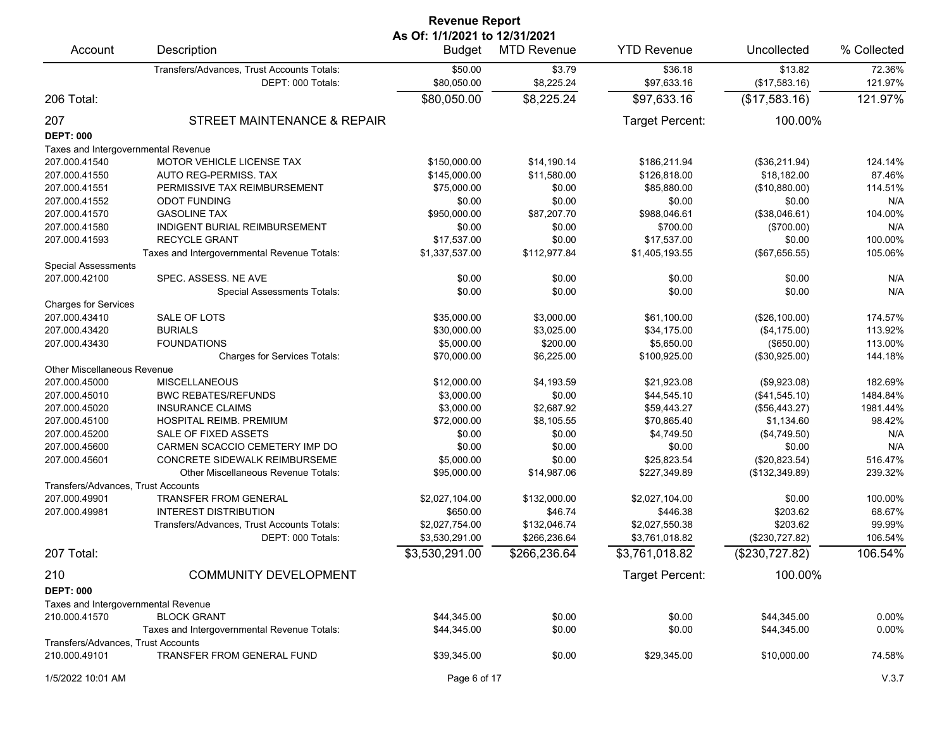| <b>Revenue Report</b><br>As Of: 1/1/2021 to 12/31/2021 |                                             |                |                    |                    |                |             |  |
|--------------------------------------------------------|---------------------------------------------|----------------|--------------------|--------------------|----------------|-------------|--|
| Account                                                | Description                                 | <b>Budget</b>  | <b>MTD Revenue</b> | <b>YTD Revenue</b> | Uncollected    | % Collected |  |
|                                                        | Transfers/Advances, Trust Accounts Totals:  | \$50.00        | \$3.79             | \$36.18            | \$13.82        | 72.36%      |  |
|                                                        | DEPT: 000 Totals:                           | \$80,050.00    | \$8,225.24         | \$97,633.16        | (\$17,583.16)  | 121.97%     |  |
| 206 Total:                                             |                                             | \$80,050.00    | \$8,225.24         | \$97,633.16        | (\$17,583.16)  | 121.97%     |  |
| 207                                                    | STREET MAINTENANCE & REPAIR                 |                |                    | Target Percent:    | 100.00%        |             |  |
| <b>DEPT: 000</b>                                       |                                             |                |                    |                    |                |             |  |
| Taxes and Intergovernmental Revenue                    |                                             |                |                    |                    |                |             |  |
| 207.000.41540                                          | MOTOR VEHICLE LICENSE TAX                   | \$150,000.00   | \$14,190.14        | \$186,211.94       | (\$36,211.94)  | 124.14%     |  |
| 207.000.41550                                          | AUTO REG-PERMISS. TAX                       | \$145,000.00   | \$11,580.00        | \$126,818.00       | \$18,182.00    | 87.46%      |  |
| 207.000.41551                                          | PERMISSIVE TAX REIMBURSEMENT                | \$75,000.00    | \$0.00             | \$85,880.00        | (\$10,880.00)  | 114.51%     |  |
| 207.000.41552                                          | <b>ODOT FUNDING</b>                         | \$0.00         | \$0.00             | \$0.00             | \$0.00         | N/A         |  |
| 207.000.41570                                          | <b>GASOLINE TAX</b>                         | \$950,000.00   | \$87,207.70        | \$988,046.61       | (\$38,046.61)  | 104.00%     |  |
| 207.000.41580                                          | INDIGENT BURIAL REIMBURSEMENT               | \$0.00         | \$0.00             | \$700.00           | (\$700.00)     | N/A         |  |
| 207.000.41593                                          | <b>RECYCLE GRANT</b>                        | \$17,537.00    | \$0.00             | \$17,537.00        | \$0.00         | 100.00%     |  |
|                                                        | Taxes and Intergovernmental Revenue Totals: | \$1,337,537.00 | \$112,977.84       | \$1,405,193.55     | (\$67,656.55)  | 105.06%     |  |
| <b>Special Assessments</b>                             |                                             |                |                    |                    |                |             |  |
| 207.000.42100                                          | SPEC. ASSESS. NE AVE                        | \$0.00         | \$0.00             | \$0.00             | \$0.00         | N/A         |  |
|                                                        | <b>Special Assessments Totals:</b>          | \$0.00         | \$0.00             | \$0.00             | \$0.00         | N/A         |  |
| <b>Charges for Services</b>                            |                                             |                |                    |                    |                |             |  |
| 207.000.43410                                          | SALE OF LOTS                                | \$35,000.00    | \$3,000.00         | \$61,100.00        | (\$26,100.00)  | 174.57%     |  |
| 207.000.43420                                          | <b>BURIALS</b>                              | \$30,000.00    | \$3,025.00         | \$34.175.00        | (\$4,175.00)   | 113.92%     |  |
|                                                        |                                             |                |                    | \$5,650.00         |                |             |  |
| 207.000.43430                                          | <b>FOUNDATIONS</b>                          | \$5,000.00     | \$200.00           |                    | (\$650.00)     | 113.00%     |  |
|                                                        | <b>Charges for Services Totals:</b>         | \$70,000.00    | \$6,225.00         | \$100,925.00       | (\$30,925.00)  | 144.18%     |  |
| Other Miscellaneous Revenue                            |                                             |                |                    |                    |                |             |  |
| 207.000.45000                                          | <b>MISCELLANEOUS</b>                        | \$12,000.00    | \$4,193.59         | \$21,923.08        | (\$9,923.08)   | 182.69%     |  |
| 207.000.45010                                          | <b>BWC REBATES/REFUNDS</b>                  | \$3,000.00     | \$0.00             | \$44,545.10        | (\$41,545.10)  | 1484.84%    |  |
| 207.000.45020                                          | <b>INSURANCE CLAIMS</b>                     | \$3,000.00     | \$2,687.92         | \$59,443.27        | (\$56,443.27)  | 1981.44%    |  |
| 207.000.45100                                          | HOSPITAL REIMB. PREMIUM                     | \$72,000.00    | \$8,105.55         | \$70,865.40        | \$1,134.60     | 98.42%      |  |
| 207.000.45200                                          | SALE OF FIXED ASSETS                        | \$0.00         | \$0.00             | \$4,749.50         | (\$4,749.50)   | N/A         |  |
| 207.000.45600                                          | CARMEN SCACCIO CEMETERY IMP DO              | \$0.00         | \$0.00             | \$0.00             | \$0.00         | N/A         |  |
| 207.000.45601                                          | <b>CONCRETE SIDEWALK REIMBURSEME</b>        | \$5,000.00     | \$0.00             | \$25,823.54        | (\$20,823.54)  | 516.47%     |  |
|                                                        | <b>Other Miscellaneous Revenue Totals:</b>  | \$95,000.00    | \$14,987.06        | \$227,349.89       | (\$132,349.89) | 239.32%     |  |
| Transfers/Advances, Trust Accounts                     |                                             |                |                    |                    |                |             |  |
| 207.000.49901                                          | <b>TRANSFER FROM GENERAL</b>                | \$2,027,104.00 | \$132,000.00       | \$2,027,104.00     | \$0.00         | 100.00%     |  |
| 207.000.49981                                          | <b>INTEREST DISTRIBUTION</b>                | \$650.00       | \$46.74            | \$446.38           | \$203.62       | 68.67%      |  |
|                                                        | Transfers/Advances, Trust Accounts Totals:  | \$2,027,754.00 | \$132,046.74       | \$2,027,550.38     | \$203.62       | 99.99%      |  |
|                                                        | DEPT: 000 Totals:                           | \$3,530,291.00 | \$266,236.64       | \$3,761,018.82     | (\$230,727.82) | 106.54%     |  |
| 207 Total:                                             |                                             | \$3,530,291.00 | \$266,236.64       | \$3,761,018.82     | (\$230,727.82) | 106.54%     |  |
| 210                                                    | <b>COMMUNITY DEVELOPMENT</b>                |                |                    | Target Percent:    | 100.00%        |             |  |
| <b>DEPT: 000</b>                                       |                                             |                |                    |                    |                |             |  |
|                                                        |                                             |                |                    |                    |                |             |  |
| Taxes and Intergovernmental Revenue                    |                                             |                |                    |                    |                |             |  |
| 210.000.41570                                          | <b>BLOCK GRANT</b>                          | \$44,345.00    | \$0.00             | \$0.00             | \$44,345.00    | 0.00%       |  |
|                                                        | Taxes and Intergovernmental Revenue Totals: | \$44,345.00    | \$0.00             | \$0.00             | \$44,345.00    | 0.00%       |  |
| Transfers/Advances, Trust Accounts                     |                                             |                |                    |                    |                |             |  |
| 210.000.49101                                          | TRANSFER FROM GENERAL FUND                  | \$39,345.00    | \$0.00             | \$29,345.00        | \$10,000.00    | 74.58%      |  |
| 1/5/2022 10:01 AM                                      |                                             | Page 6 of 17   |                    |                    |                | V.3.7       |  |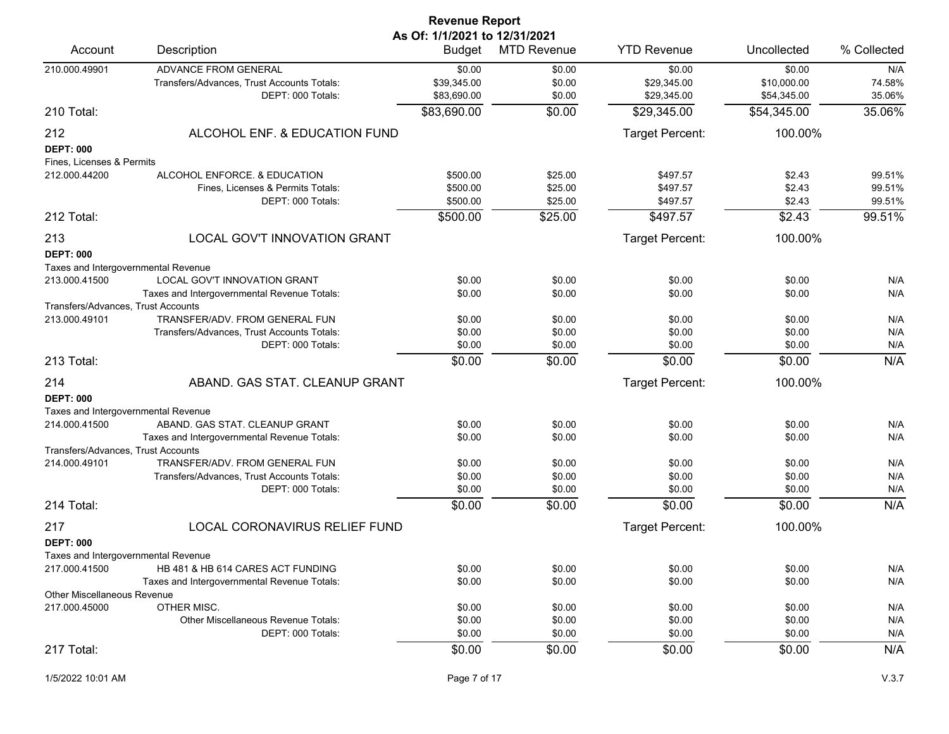|                                                         |                                                                 | <b>Revenue Report</b> |                    |                        |                  |             |  |  |
|---------------------------------------------------------|-----------------------------------------------------------------|-----------------------|--------------------|------------------------|------------------|-------------|--|--|
|                                                         | As Of: 1/1/2021 to 12/31/2021                                   |                       |                    |                        |                  |             |  |  |
| Account                                                 | Description                                                     | Budget                | <b>MTD Revenue</b> | <b>YTD Revenue</b>     | Uncollected      | % Collected |  |  |
| 210.000.49901                                           | ADVANCE FROM GENERAL                                            | \$0.00                | \$0.00             | \$0.00                 | \$0.00           | N/A         |  |  |
|                                                         | Transfers/Advances, Trust Accounts Totals:                      | \$39,345.00           | \$0.00             | \$29,345.00            | \$10,000.00      | 74.58%      |  |  |
|                                                         | DEPT: 000 Totals:                                               | \$83,690.00           | \$0.00             | \$29,345.00            | \$54,345.00      | 35.06%      |  |  |
| 210 Total:                                              |                                                                 | \$83,690.00           | \$0.00             | \$29,345.00            | \$54,345.00      | 35.06%      |  |  |
| 212                                                     | ALCOHOL ENF. & EDUCATION FUND                                   |                       |                    | Target Percent:        | 100.00%          |             |  |  |
| <b>DEPT: 000</b>                                        |                                                                 |                       |                    |                        |                  |             |  |  |
| Fines, Licenses & Permits                               |                                                                 |                       |                    |                        |                  |             |  |  |
| 212.000.44200                                           | ALCOHOL ENFORCE, & EDUCATION                                    | \$500.00              | \$25.00            | \$497.57               | \$2.43           | 99.51%      |  |  |
|                                                         | Fines, Licenses & Permits Totals:                               | \$500.00              | \$25.00            | \$497.57               | \$2.43           | 99.51%      |  |  |
|                                                         | DEPT: 000 Totals:                                               | \$500.00              | \$25.00            | \$497.57               | \$2.43           | 99.51%      |  |  |
| 212 Total:                                              |                                                                 | \$500.00              | \$25.00            | \$497.57               | \$2.43           | 99.51%      |  |  |
| 213                                                     | LOCAL GOV'T INNOVATION GRANT                                    |                       |                    | <b>Target Percent:</b> | 100.00%          |             |  |  |
| <b>DEPT: 000</b>                                        |                                                                 |                       |                    |                        |                  |             |  |  |
| Taxes and Intergovernmental Revenue                     |                                                                 |                       |                    |                        |                  |             |  |  |
| 213.000.41500                                           | LOCAL GOV'T INNOVATION GRANT                                    | \$0.00                | \$0.00             | \$0.00                 | \$0.00           | N/A         |  |  |
|                                                         | Taxes and Intergovernmental Revenue Totals:                     | \$0.00                | \$0.00             | \$0.00                 | \$0.00           | N/A         |  |  |
| Transfers/Advances, Trust Accounts                      |                                                                 |                       |                    |                        |                  |             |  |  |
| 213.000.49101                                           | TRANSFER/ADV. FROM GENERAL FUN                                  | \$0.00                | \$0.00             | \$0.00                 | \$0.00           | N/A         |  |  |
|                                                         | Transfers/Advances, Trust Accounts Totals:                      | \$0.00                | \$0.00             | \$0.00                 | \$0.00           | N/A         |  |  |
|                                                         | DEPT: 000 Totals:                                               | \$0.00                | \$0.00             | \$0.00                 | \$0.00           | N/A         |  |  |
| 213 Total:                                              |                                                                 | \$0.00                | \$0.00             | \$0.00                 | \$0.00           | N/A         |  |  |
| 214                                                     | ABAND. GAS STAT. CLEANUP GRANT                                  |                       |                    | Target Percent:        | 100.00%          |             |  |  |
| <b>DEPT: 000</b>                                        |                                                                 |                       |                    |                        |                  |             |  |  |
| Taxes and Intergovernmental Revenue                     |                                                                 |                       |                    |                        |                  |             |  |  |
| 214.000.41500                                           | ABAND. GAS STAT. CLEANUP GRANT                                  | \$0.00                | \$0.00             | \$0.00                 | \$0.00           | N/A         |  |  |
|                                                         | Taxes and Intergovernmental Revenue Totals:                     | \$0.00                | \$0.00             | \$0.00                 | \$0.00           | N/A         |  |  |
| Transfers/Advances, Trust Accounts                      |                                                                 |                       |                    |                        |                  |             |  |  |
| 214.000.49101                                           | TRANSFER/ADV. FROM GENERAL FUN                                  | \$0.00<br>\$0.00      | \$0.00<br>\$0.00   | \$0.00<br>\$0.00       | \$0.00<br>\$0.00 | N/A<br>N/A  |  |  |
|                                                         | Transfers/Advances, Trust Accounts Totals:<br>DEPT: 000 Totals: | \$0.00                | \$0.00             | \$0.00                 | \$0.00           | N/A         |  |  |
| 214 Total:                                              |                                                                 | \$0.00                | \$0.00             | \$0.00                 | \$0.00           | N/A         |  |  |
| 217                                                     | LOCAL CORONAVIRUS RELIEF FUND                                   |                       |                    | <b>Target Percent:</b> | 100.00%          |             |  |  |
|                                                         |                                                                 |                       |                    |                        |                  |             |  |  |
| <b>DEPT: 000</b><br>Taxes and Intergovernmental Revenue |                                                                 |                       |                    |                        |                  |             |  |  |
| 217.000.41500                                           | HB 481 & HB 614 CARES ACT FUNDING                               | \$0.00                | \$0.00             | \$0.00                 | \$0.00           | N/A         |  |  |
|                                                         | Taxes and Intergovernmental Revenue Totals:                     | \$0.00                | \$0.00             | \$0.00                 | \$0.00           | N/A         |  |  |
| <b>Other Miscellaneous Revenue</b>                      |                                                                 |                       |                    |                        |                  |             |  |  |
| 217.000.45000                                           | OTHER MISC.                                                     | \$0.00                | \$0.00             | \$0.00                 | \$0.00           | N/A         |  |  |
|                                                         | Other Miscellaneous Revenue Totals:                             | \$0.00                | \$0.00             | \$0.00                 | \$0.00           | N/A         |  |  |
|                                                         | DEPT: 000 Totals:                                               | \$0.00                | \$0.00             | \$0.00                 | \$0.00           | N/A         |  |  |
| 217 Total:                                              |                                                                 | \$0.00                | \$0.00             | \$0.00                 | \$0.00           | N/A         |  |  |
|                                                         |                                                                 |                       |                    |                        |                  |             |  |  |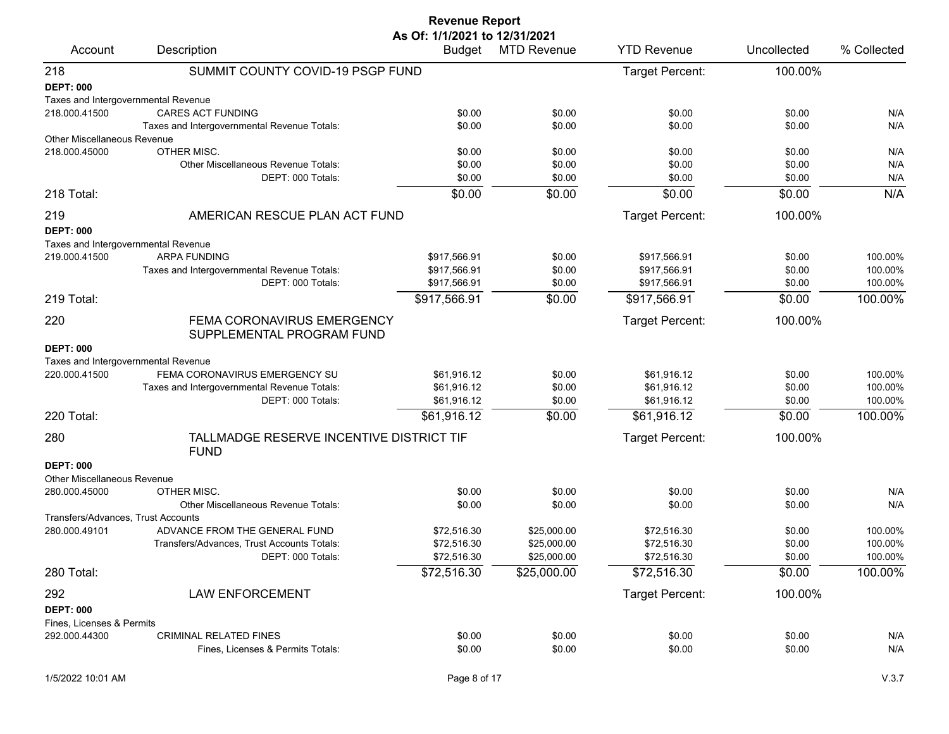|                                     |                                                                  | <b>Revenue Report</b>                          |                            |                              |                  |                    |
|-------------------------------------|------------------------------------------------------------------|------------------------------------------------|----------------------------|------------------------------|------------------|--------------------|
| Account                             | Description                                                      | As Of: 1/1/2021 to 12/31/2021<br><b>Budget</b> | <b>MTD Revenue</b>         | <b>YTD Revenue</b>           | Uncollected      | % Collected        |
| 218                                 | SUMMIT COUNTY COVID-19 PSGP FUND                                 |                                                |                            | Target Percent:              | 100.00%          |                    |
| <b>DEPT: 000</b>                    |                                                                  |                                                |                            |                              |                  |                    |
| Taxes and Intergovernmental Revenue |                                                                  |                                                |                            |                              |                  |                    |
| 218.000.41500                       | <b>CARES ACT FUNDING</b>                                         | \$0.00                                         | \$0.00                     | \$0.00                       | \$0.00           | N/A                |
|                                     | Taxes and Intergovernmental Revenue Totals:                      | \$0.00                                         | \$0.00                     | \$0.00                       | \$0.00           | N/A                |
| <b>Other Miscellaneous Revenue</b>  |                                                                  |                                                |                            |                              |                  |                    |
| 218.000.45000                       | OTHER MISC.<br><b>Other Miscellaneous Revenue Totals:</b>        | \$0.00                                         | \$0.00                     | \$0.00                       | \$0.00           | N/A                |
|                                     | DEPT: 000 Totals:                                                | \$0.00<br>\$0.00                               | \$0.00<br>\$0.00           | \$0.00<br>\$0.00             | \$0.00<br>\$0.00 | N/A<br>N/A         |
| 218 Total:                          |                                                                  | \$0.00                                         | \$0.00                     | \$0.00                       | \$0.00           | N/A                |
|                                     |                                                                  |                                                |                            |                              |                  |                    |
| 219                                 | AMERICAN RESCUE PLAN ACT FUND                                    |                                                |                            | Target Percent:              | 100.00%          |                    |
| <b>DEPT: 000</b>                    |                                                                  |                                                |                            |                              |                  |                    |
| Taxes and Intergovernmental Revenue |                                                                  |                                                |                            |                              |                  |                    |
| 219.000.41500                       | <b>ARPA FUNDING</b>                                              | \$917,566.91                                   | \$0.00                     | \$917.566.91                 | \$0.00           | 100.00%            |
|                                     | Taxes and Intergovernmental Revenue Totals:<br>DEPT: 000 Totals: | \$917,566.91<br>\$917,566.91                   | \$0.00<br>\$0.00           | \$917,566.91<br>\$917,566.91 | \$0.00<br>\$0.00 | 100.00%<br>100.00% |
| 219 Total:                          |                                                                  |                                                | \$0.00                     |                              | \$0.00           | 100.00%            |
|                                     |                                                                  | \$917,566.91                                   |                            | \$917,566.91                 |                  |                    |
| 220                                 | FEMA CORONAVIRUS EMERGENCY<br>SUPPLEMENTAL PROGRAM FUND          |                                                |                            | Target Percent:              | 100.00%          |                    |
| <b>DEPT: 000</b>                    |                                                                  |                                                |                            |                              |                  |                    |
| Taxes and Intergovernmental Revenue |                                                                  |                                                |                            |                              |                  |                    |
| 220.000.41500                       | FEMA CORONAVIRUS EMERGENCY SU                                    | \$61,916.12                                    | \$0.00                     | \$61,916.12                  | \$0.00           | 100.00%            |
|                                     | Taxes and Intergovernmental Revenue Totals:                      | \$61,916.12                                    | \$0.00                     | \$61,916.12                  | \$0.00           | 100.00%            |
|                                     | DEPT: 000 Totals:                                                | \$61,916.12                                    | \$0.00                     | \$61,916.12                  | \$0.00           | 100.00%            |
| 220 Total:                          |                                                                  | \$61,916.12                                    | \$0.00                     | \$61,916.12                  | \$0.00           | 100.00%            |
| 280                                 | TALLMADGE RESERVE INCENTIVE DISTRICT TIF<br><b>FUND</b>          |                                                |                            | Target Percent:              | 100.00%          |                    |
| <b>DEPT: 000</b>                    |                                                                  |                                                |                            |                              |                  |                    |
| <b>Other Miscellaneous Revenue</b>  |                                                                  |                                                |                            |                              |                  |                    |
| 280.000.45000                       | OTHER MISC.                                                      | \$0.00                                         | \$0.00                     | \$0.00                       | \$0.00           | N/A                |
|                                     | Other Miscellaneous Revenue Totals:                              | \$0.00                                         | \$0.00                     | \$0.00                       | \$0.00           | N/A                |
| Transfers/Advances, Trust Accounts  |                                                                  |                                                |                            |                              |                  |                    |
| 280.000.49101                       | ADVANCE FROM THE GENERAL FUND                                    | \$72,516.30                                    | \$25,000.00                | \$72,516.30                  | \$0.00           | 100.00%            |
|                                     | Transfers/Advances, Trust Accounts Totals:<br>DEPT: 000 Totals:  | \$72,516.30<br>\$72,516.30                     | \$25,000.00<br>\$25,000.00 | \$72,516.30<br>\$72,516.30   | \$0.00           | 100.00%<br>100.00% |
|                                     |                                                                  |                                                |                            |                              | \$0.00           |                    |
| 280 Total:                          |                                                                  | \$72,516.30                                    | \$25,000.00                | \$72,516.30                  | \$0.00           | 100.00%            |
| 292                                 | <b>LAW ENFORCEMENT</b>                                           |                                                |                            | Target Percent:              | 100.00%          |                    |
| <b>DEPT: 000</b>                    |                                                                  |                                                |                            |                              |                  |                    |
| Fines, Licenses & Permits           |                                                                  |                                                |                            |                              |                  |                    |
| 292.000.44300                       | <b>CRIMINAL RELATED FINES</b>                                    | \$0.00                                         | \$0.00                     | \$0.00                       | \$0.00           | N/A                |
|                                     | Fines, Licenses & Permits Totals:                                | \$0.00                                         | \$0.00                     | \$0.00                       | \$0.00           | N/A                |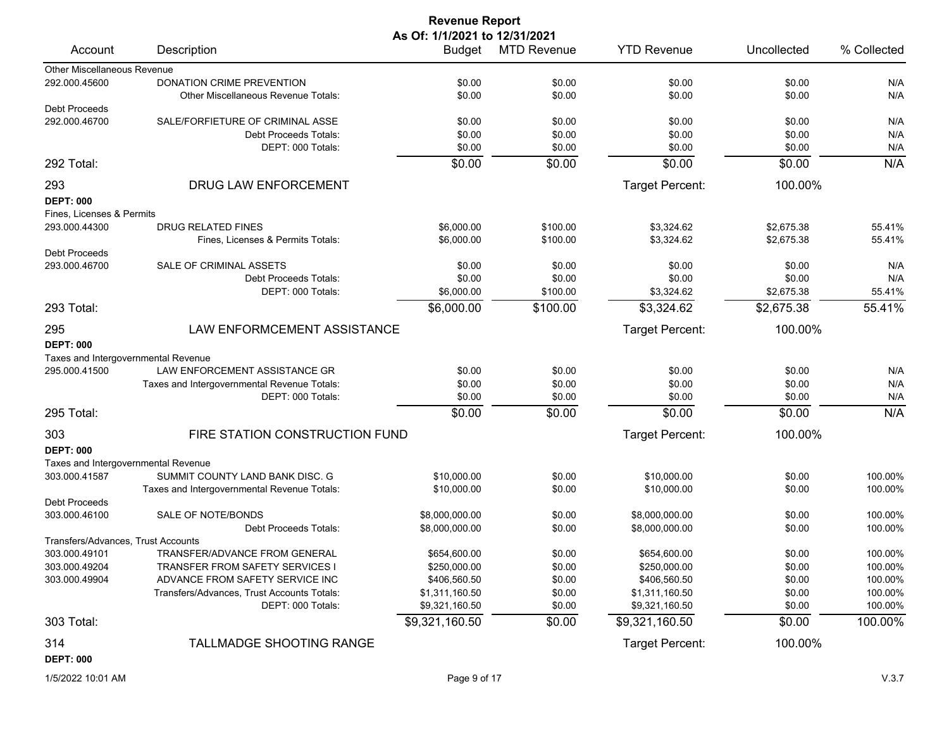| <b>Revenue Report</b>              |                                                                      |                |                    |                        |             |             |  |  |  |
|------------------------------------|----------------------------------------------------------------------|----------------|--------------------|------------------------|-------------|-------------|--|--|--|
| As Of: 1/1/2021 to 12/31/2021      |                                                                      |                |                    |                        |             |             |  |  |  |
| Account                            | Description                                                          | Budget         | <b>MTD Revenue</b> | <b>YTD Revenue</b>     | Uncollected | % Collected |  |  |  |
| Other Miscellaneous Revenue        |                                                                      |                |                    |                        |             |             |  |  |  |
| 292.000.45600                      | DONATION CRIME PREVENTION                                            | \$0.00         | \$0.00             | \$0.00                 | \$0.00      | N/A         |  |  |  |
|                                    | <b>Other Miscellaneous Revenue Totals:</b>                           | \$0.00         | \$0.00             | \$0.00                 | \$0.00      | N/A         |  |  |  |
| Debt Proceeds                      |                                                                      |                |                    |                        |             |             |  |  |  |
| 292.000.46700                      | SALE/FORFIETURE OF CRIMINAL ASSE                                     | \$0.00         | \$0.00             | \$0.00                 | \$0.00      | N/A         |  |  |  |
|                                    | Debt Proceeds Totals:                                                | \$0.00         | \$0.00             | \$0.00                 | \$0.00      | N/A         |  |  |  |
|                                    | DEPT: 000 Totals:                                                    | \$0.00         | \$0.00             | \$0.00                 | \$0.00      | N/A         |  |  |  |
| 292 Total:                         |                                                                      | \$0.00         | \$0.00             | \$0.00                 | \$0.00      | N/A         |  |  |  |
| 293                                | DRUG LAW ENFORCEMENT                                                 |                |                    | <b>Target Percent:</b> | 100.00%     |             |  |  |  |
| <b>DEPT: 000</b>                   |                                                                      |                |                    |                        |             |             |  |  |  |
| Fines, Licenses & Permits          |                                                                      |                |                    |                        |             |             |  |  |  |
| 293.000.44300                      | DRUG RELATED FINES                                                   | \$6,000.00     | \$100.00           | \$3,324.62             | \$2,675.38  | 55.41%      |  |  |  |
|                                    | Fines, Licenses & Permits Totals:                                    | \$6,000.00     | \$100.00           | \$3,324.62             | \$2,675.38  | 55.41%      |  |  |  |
| Debt Proceeds                      |                                                                      |                |                    |                        |             |             |  |  |  |
| 293.000.46700                      | SALE OF CRIMINAL ASSETS                                              | \$0.00         | \$0.00             | \$0.00                 | \$0.00      | N/A         |  |  |  |
|                                    | Debt Proceeds Totals:                                                | \$0.00         | \$0.00             | \$0.00                 | \$0.00      | N/A         |  |  |  |
|                                    | DEPT: 000 Totals:                                                    | \$6,000.00     | \$100.00           | \$3,324.62             | \$2,675.38  | 55.41%      |  |  |  |
| 293 Total:                         |                                                                      | \$6,000.00     | \$100.00           | \$3,324.62             | \$2,675.38  | 55.41%      |  |  |  |
| 295                                | LAW ENFORMCEMENT ASSISTANCE                                          |                |                    | <b>Target Percent:</b> | 100.00%     |             |  |  |  |
|                                    |                                                                      |                |                    |                        |             |             |  |  |  |
| <b>DEPT: 000</b>                   |                                                                      |                |                    |                        |             |             |  |  |  |
| 295.000.41500                      | Taxes and Intergovernmental Revenue<br>LAW ENFORCEMENT ASSISTANCE GR |                |                    |                        |             |             |  |  |  |
|                                    |                                                                      | \$0.00         | \$0.00             | \$0.00                 | \$0.00      | N/A         |  |  |  |
|                                    | Taxes and Intergovernmental Revenue Totals:                          | \$0.00         | \$0.00             | \$0.00                 | \$0.00      | N/A         |  |  |  |
|                                    | DEPT: 000 Totals:                                                    | \$0.00         | \$0.00             | \$0.00                 | \$0.00      | N/A         |  |  |  |
| 295 Total:                         |                                                                      | \$0.00         | \$0.00             | \$0.00                 | \$0.00      | N/A         |  |  |  |
| 303                                | FIRE STATION CONSTRUCTION FUND                                       |                |                    | Target Percent:        | 100.00%     |             |  |  |  |
| <b>DEPT: 000</b>                   |                                                                      |                |                    |                        |             |             |  |  |  |
|                                    | Taxes and Intergovernmental Revenue                                  |                |                    |                        |             |             |  |  |  |
| 303.000.41587                      | SUMMIT COUNTY LAND BANK DISC. G                                      | \$10,000.00    | \$0.00             | \$10,000.00            | \$0.00      | 100.00%     |  |  |  |
|                                    | Taxes and Intergovernmental Revenue Totals:                          | \$10,000.00    | \$0.00             | \$10,000.00            | \$0.00      | 100.00%     |  |  |  |
| <b>Debt Proceeds</b>               |                                                                      |                |                    |                        |             |             |  |  |  |
| 303.000.46100                      | SALE OF NOTE/BONDS                                                   | \$8,000,000.00 | \$0.00             | \$8,000,000.00         | \$0.00      | 100.00%     |  |  |  |
|                                    | Debt Proceeds Totals:                                                | \$8,000,000.00 | \$0.00             | \$8,000,000.00         | \$0.00      | 100.00%     |  |  |  |
| Transfers/Advances, Trust Accounts |                                                                      |                |                    |                        |             |             |  |  |  |
| 303.000.49101                      | TRANSFER/ADVANCE FROM GENERAL                                        | \$654,600.00   | \$0.00             | \$654,600.00           | \$0.00      | 100.00%     |  |  |  |
| 303.000.49204                      | TRANSFER FROM SAFETY SERVICES I                                      | \$250,000.00   | \$0.00             | \$250,000.00           | \$0.00      | 100.00%     |  |  |  |
| 303.000.49904                      | ADVANCE FROM SAFETY SERVICE INC                                      | \$406,560.50   | \$0.00             | \$406,560.50           | \$0.00      | 100.00%     |  |  |  |
|                                    | Transfers/Advances, Trust Accounts Totals:                           | \$1,311,160.50 | \$0.00             | \$1,311,160.50         | \$0.00      | 100.00%     |  |  |  |
|                                    | DEPT: 000 Totals:                                                    | \$9,321,160.50 | \$0.00             | \$9,321,160.50         | \$0.00      | 100.00%     |  |  |  |
| 303 Total:                         |                                                                      | \$9,321,160.50 | \$0.00             | \$9,321,160.50         | \$0.00      | 100.00%     |  |  |  |
| 314                                | TALLMADGE SHOOTING RANGE                                             |                |                    | <b>Target Percent:</b> | 100.00%     |             |  |  |  |
| <b>DEPT: 000</b>                   |                                                                      |                |                    |                        |             |             |  |  |  |
|                                    |                                                                      |                |                    |                        |             |             |  |  |  |

1/5/2022 10:01 AM Page 9 of 17 V.3.7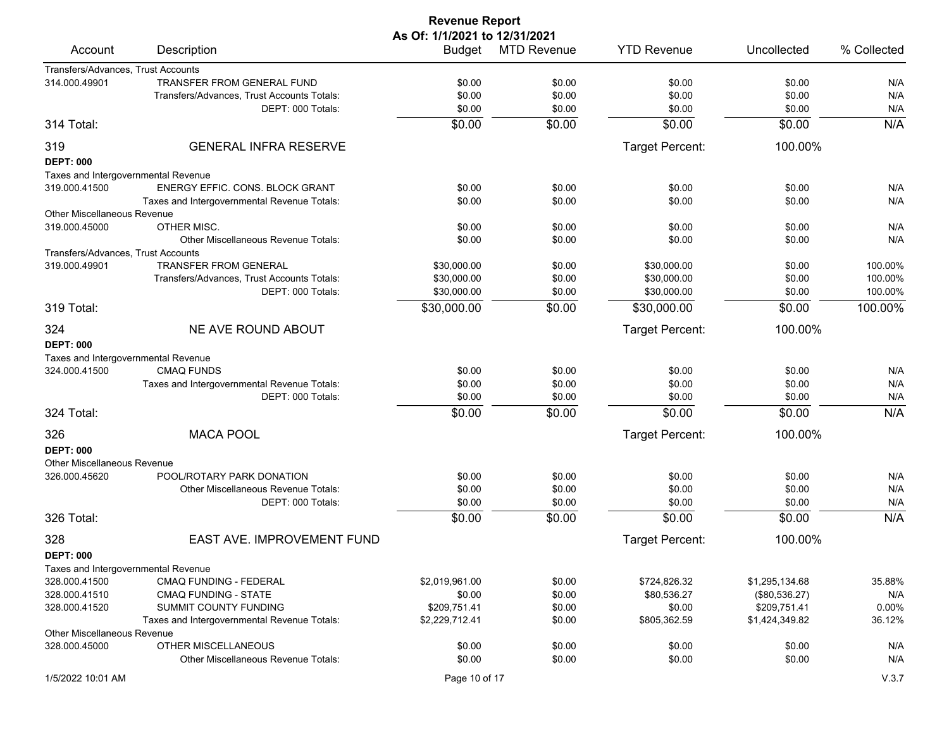| <b>Revenue Report</b>               |                                             |                |                    |                    |                |             |  |  |
|-------------------------------------|---------------------------------------------|----------------|--------------------|--------------------|----------------|-------------|--|--|
|                                     | As Of: 1/1/2021 to 12/31/2021               |                |                    |                    |                |             |  |  |
| Account                             | Description                                 | Budget         | <b>MTD Revenue</b> | <b>YTD Revenue</b> | Uncollected    | % Collected |  |  |
| Transfers/Advances, Trust Accounts  |                                             |                |                    |                    |                |             |  |  |
| 314.000.49901                       | TRANSFER FROM GENERAL FUND                  | \$0.00         | \$0.00             | \$0.00             | \$0.00         | N/A         |  |  |
|                                     | Transfers/Advances, Trust Accounts Totals:  | \$0.00         | \$0.00             | \$0.00             | \$0.00         | N/A         |  |  |
|                                     | DEPT: 000 Totals:                           | \$0.00         | \$0.00             | \$0.00             | \$0.00         | N/A         |  |  |
| 314 Total:                          |                                             | \$0.00         | \$0.00             | \$0.00             | \$0.00         | N/A         |  |  |
| 319                                 | <b>GENERAL INFRA RESERVE</b>                |                |                    | Target Percent:    | 100.00%        |             |  |  |
| <b>DEPT: 000</b>                    |                                             |                |                    |                    |                |             |  |  |
| Taxes and Intergovernmental Revenue |                                             |                |                    |                    |                |             |  |  |
| 319.000.41500                       | ENERGY EFFIC. CONS. BLOCK GRANT             | \$0.00         | \$0.00             | \$0.00             | \$0.00         | N/A         |  |  |
|                                     | Taxes and Intergovernmental Revenue Totals: | \$0.00         | \$0.00             | \$0.00             | \$0.00         | N/A         |  |  |
| <b>Other Miscellaneous Revenue</b>  |                                             |                |                    |                    |                |             |  |  |
| 319.000.45000                       | OTHER MISC.                                 | \$0.00         | \$0.00             | \$0.00             | \$0.00         | N/A         |  |  |
|                                     | <b>Other Miscellaneous Revenue Totals:</b>  | \$0.00         | \$0.00             | \$0.00             | \$0.00         | N/A         |  |  |
| Transfers/Advances, Trust Accounts  |                                             |                |                    |                    |                |             |  |  |
| 319.000.49901                       | <b>TRANSFER FROM GENERAL</b>                | \$30,000.00    | \$0.00             | \$30,000.00        | \$0.00         | 100.00%     |  |  |
|                                     | Transfers/Advances, Trust Accounts Totals:  | \$30,000.00    | \$0.00             | \$30,000.00        | \$0.00         | 100.00%     |  |  |
|                                     | DEPT: 000 Totals:                           | \$30,000.00    | \$0.00             | \$30,000.00        | \$0.00         | 100.00%     |  |  |
| 319 Total:                          |                                             | \$30,000.00    | \$0.00             | \$30,000.00        | \$0.00         | 100.00%     |  |  |
| 324                                 | NE AVE ROUND ABOUT                          |                |                    | Target Percent:    | 100.00%        |             |  |  |
| <b>DEPT: 000</b>                    |                                             |                |                    |                    |                |             |  |  |
| Taxes and Intergovernmental Revenue |                                             |                |                    |                    |                |             |  |  |
| 324.000.41500                       | <b>CMAQ FUNDS</b>                           | \$0.00         | \$0.00             | \$0.00             | \$0.00         | N/A         |  |  |
|                                     | Taxes and Intergovernmental Revenue Totals: | \$0.00         | \$0.00             | \$0.00             | \$0.00         | N/A         |  |  |
|                                     | DEPT: 000 Totals:                           | \$0.00         | \$0.00             | \$0.00             | \$0.00         | N/A         |  |  |
| 324 Total:                          |                                             | \$0.00         | \$0.00             | \$0.00             | \$0.00         | N/A         |  |  |
| 326                                 | <b>MACA POOL</b>                            |                |                    | Target Percent:    | 100.00%        |             |  |  |
| <b>DEPT: 000</b>                    |                                             |                |                    |                    |                |             |  |  |
| Other Miscellaneous Revenue         |                                             |                |                    |                    |                |             |  |  |
| 326.000.45620                       | POOL/ROTARY PARK DONATION                   | \$0.00         | \$0.00             | \$0.00             | \$0.00         | N/A         |  |  |
|                                     | <b>Other Miscellaneous Revenue Totals:</b>  | \$0.00         | \$0.00             | \$0.00             | \$0.00         | N/A         |  |  |
|                                     | DEPT: 000 Totals:                           | \$0.00         | \$0.00             | \$0.00             | \$0.00         | N/A         |  |  |
| 326 Total:                          |                                             | \$0.00         | \$0.00             | \$0.00             | \$0.00         | N/A         |  |  |
| 328                                 | EAST AVE. IMPROVEMENT FUND                  |                |                    | Target Percent:    | 100.00%        |             |  |  |
| <b>DEPT: 000</b>                    |                                             |                |                    |                    |                |             |  |  |
| Taxes and Intergovernmental Revenue |                                             |                |                    |                    |                |             |  |  |
| 328.000.41500                       | CMAQ FUNDING - FEDERAL                      | \$2,019,961.00 | \$0.00             | \$724,826.32       | \$1,295,134.68 | 35.88%      |  |  |
| 328.000.41510                       | <b>CMAQ FUNDING - STATE</b>                 | \$0.00         | \$0.00             | \$80,536.27        | (\$80,536.27)  | N/A         |  |  |
| 328.000.41520                       | SUMMIT COUNTY FUNDING                       | \$209,751.41   | \$0.00             | \$0.00             | \$209,751.41   | 0.00%       |  |  |
|                                     | Taxes and Intergovernmental Revenue Totals: | \$2,229,712.41 | \$0.00             | \$805,362.59       | \$1,424,349.82 | 36.12%      |  |  |
| Other Miscellaneous Revenue         |                                             |                |                    |                    |                |             |  |  |
| 328.000.45000                       | <b>OTHER MISCELLANEOUS</b>                  | \$0.00         | \$0.00             | \$0.00             | \$0.00         | N/A         |  |  |
|                                     | Other Miscellaneous Revenue Totals:         | \$0.00         | \$0.00             | \$0.00             | \$0.00         | N/A         |  |  |
| 1/5/2022 10:01 AM                   |                                             | Page 10 of 17  |                    |                    |                | V.3.7       |  |  |
|                                     |                                             |                |                    |                    |                |             |  |  |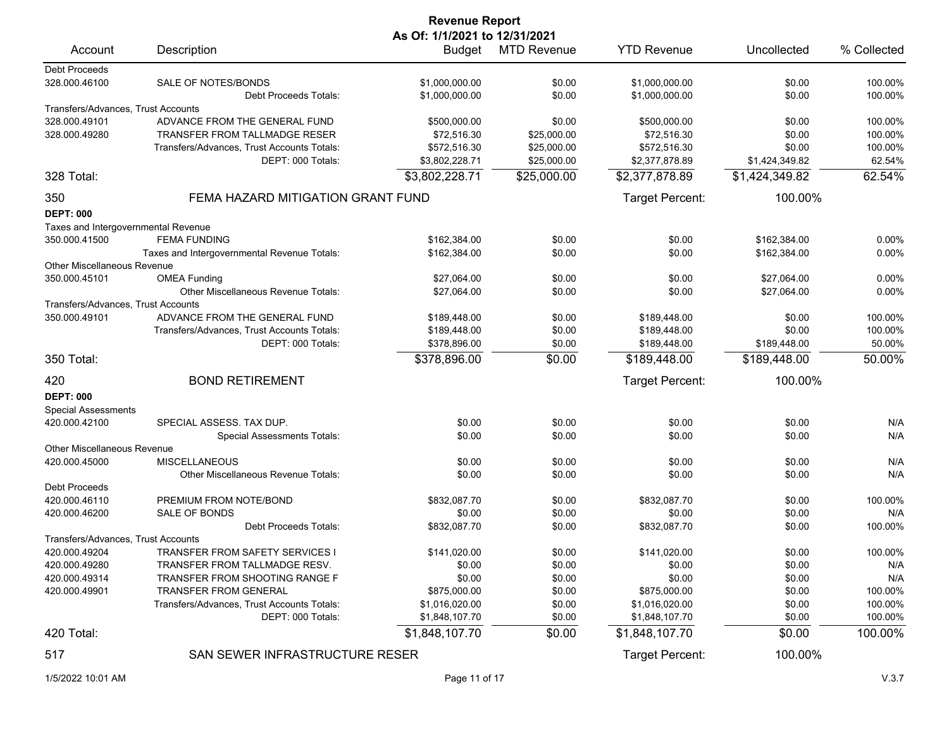|                                     |                                             | <b>Revenue Report</b> |                    |                        |                  |             |  |  |
|-------------------------------------|---------------------------------------------|-----------------------|--------------------|------------------------|------------------|-------------|--|--|
|                                     | As Of: 1/1/2021 to 12/31/2021               |                       |                    |                        |                  |             |  |  |
| Account                             | Description                                 |                       | Budget MTD Revenue | <b>YTD Revenue</b>     | Uncollected      | % Collected |  |  |
| <b>Debt Proceeds</b>                |                                             |                       |                    |                        |                  |             |  |  |
| 328.000.46100                       | SALE OF NOTES/BONDS                         | \$1.000.000.00        | \$0.00             | \$1,000,000.00         | \$0.00           | 100.00%     |  |  |
|                                     | Debt Proceeds Totals:                       | \$1,000,000.00        | \$0.00             | \$1,000,000.00         | \$0.00           | 100.00%     |  |  |
| Transfers/Advances, Trust Accounts  |                                             |                       |                    |                        |                  |             |  |  |
| 328.000.49101                       | ADVANCE FROM THE GENERAL FUND               | \$500,000.00          | \$0.00             | \$500,000.00           | \$0.00           | 100.00%     |  |  |
| 328.000.49280                       | TRANSFER FROM TALLMADGE RESER               | \$72,516.30           | \$25,000.00        | \$72,516.30            | \$0.00           | 100.00%     |  |  |
|                                     | Transfers/Advances, Trust Accounts Totals:  | \$572,516.30          | \$25,000.00        | \$572,516.30           | \$0.00           | 100.00%     |  |  |
|                                     | DEPT: 000 Totals:                           | \$3,802,228.71        | \$25,000.00        | \$2,377,878.89         | \$1,424,349.82   | 62.54%      |  |  |
| 328 Total:                          |                                             | \$3,802,228.71        | \$25,000.00        | \$2,377,878.89         | \$1,424,349.82   | 62.54%      |  |  |
| 350                                 | FEMA HAZARD MITIGATION GRANT FUND           |                       |                    | Target Percent:        | 100.00%          |             |  |  |
| <b>DEPT: 000</b>                    |                                             |                       |                    |                        |                  |             |  |  |
| Taxes and Intergovernmental Revenue |                                             |                       |                    |                        |                  |             |  |  |
| 350.000.41500                       | <b>FEMA FUNDING</b>                         | \$162,384.00          | \$0.00             | \$0.00                 | \$162,384.00     | 0.00%       |  |  |
|                                     | Taxes and Intergovernmental Revenue Totals: | \$162,384.00          | \$0.00             | \$0.00                 | \$162,384.00     | 0.00%       |  |  |
| <b>Other Miscellaneous Revenue</b>  |                                             |                       |                    |                        |                  |             |  |  |
| 350.000.45101                       | <b>OMEA Funding</b>                         | \$27,064.00           | \$0.00             | \$0.00                 | \$27,064.00      | 0.00%       |  |  |
|                                     | Other Miscellaneous Revenue Totals:         | \$27,064.00           | \$0.00             | \$0.00                 | \$27,064.00      | 0.00%       |  |  |
| Transfers/Advances, Trust Accounts  |                                             |                       |                    |                        |                  |             |  |  |
| 350.000.49101                       | ADVANCE FROM THE GENERAL FUND               | \$189,448.00          | \$0.00             | \$189,448.00           | \$0.00           | 100.00%     |  |  |
|                                     | Transfers/Advances, Trust Accounts Totals:  | \$189,448.00          | \$0.00             | \$189,448.00           | \$0.00           | 100.00%     |  |  |
|                                     | DEPT: 000 Totals:                           | \$378,896.00          | \$0.00             | \$189,448.00           | \$189,448.00     | 50.00%      |  |  |
| 350 Total:                          |                                             | \$378,896.00          | \$0.00             | \$189,448.00           | \$189,448.00     | 50.00%      |  |  |
| 420                                 | <b>BOND RETIREMENT</b>                      |                       |                    | Target Percent:        | 100.00%          |             |  |  |
| <b>DEPT: 000</b>                    |                                             |                       |                    |                        |                  |             |  |  |
|                                     |                                             |                       |                    |                        |                  |             |  |  |
| <b>Special Assessments</b>          | SPECIAL ASSESS. TAX DUP.                    |                       |                    |                        |                  |             |  |  |
| 420.000.42100                       | <b>Special Assessments Totals:</b>          | \$0.00<br>\$0.00      | \$0.00<br>\$0.00   | \$0.00<br>\$0.00       | \$0.00<br>\$0.00 | N/A<br>N/A  |  |  |
| <b>Other Miscellaneous Revenue</b>  |                                             |                       |                    |                        |                  |             |  |  |
| 420.000.45000                       | <b>MISCELLANEOUS</b>                        | \$0.00                | \$0.00             | \$0.00                 | \$0.00           | N/A         |  |  |
|                                     | Other Miscellaneous Revenue Totals:         | \$0.00                | \$0.00             | \$0.00                 | \$0.00           | N/A         |  |  |
| <b>Debt Proceeds</b>                |                                             |                       |                    |                        |                  |             |  |  |
| 420.000.46110                       | PREMIUM FROM NOTE/BOND                      | \$832,087.70          | \$0.00             | \$832,087.70           | \$0.00           | 100.00%     |  |  |
| 420.000.46200                       | SALE OF BONDS                               | \$0.00                | \$0.00             | \$0.00                 | \$0.00           | N/A         |  |  |
|                                     |                                             |                       |                    | \$832,087.70           |                  |             |  |  |
|                                     | Debt Proceeds Totals:                       | \$832,087.70          | \$0.00             |                        | \$0.00           | 100.00%     |  |  |
| Transfers/Advances, Trust Accounts  | TRANSFER FROM SAFETY SERVICES I             |                       |                    |                        |                  |             |  |  |
| 420.000.49204<br>420.000.49280      | TRANSFER FROM TALLMADGE RESV.               | \$141,020.00          | \$0.00             | \$141,020.00<br>\$0.00 | \$0.00           | 100.00%     |  |  |
| 420.000.49314                       | <b>TRANSFER FROM SHOOTING RANGE F</b>       | \$0.00<br>\$0.00      | \$0.00             | \$0.00                 | \$0.00           | N/A         |  |  |
|                                     |                                             |                       | \$0.00             | \$875,000.00           | \$0.00           | N/A         |  |  |
| 420.000.49901                       | <b>TRANSFER FROM GENERAL</b>                | \$875,000.00          | \$0.00             |                        | \$0.00           | 100.00%     |  |  |
|                                     | Transfers/Advances, Trust Accounts Totals:  | \$1,016,020.00        | \$0.00             | \$1,016,020.00         | \$0.00           | 100.00%     |  |  |
|                                     | DEPT: 000 Totals:                           | \$1,848,107.70        | \$0.00             | \$1,848,107.70         | \$0.00           | 100.00%     |  |  |
| 420 Total:                          |                                             | \$1,848,107.70        | \$0.00             | \$1,848,107.70         | \$0.00           | 100.00%     |  |  |
| 517                                 | SAN SEWER INFRASTRUCTURE RESER              |                       |                    | Target Percent:        | 100.00%          |             |  |  |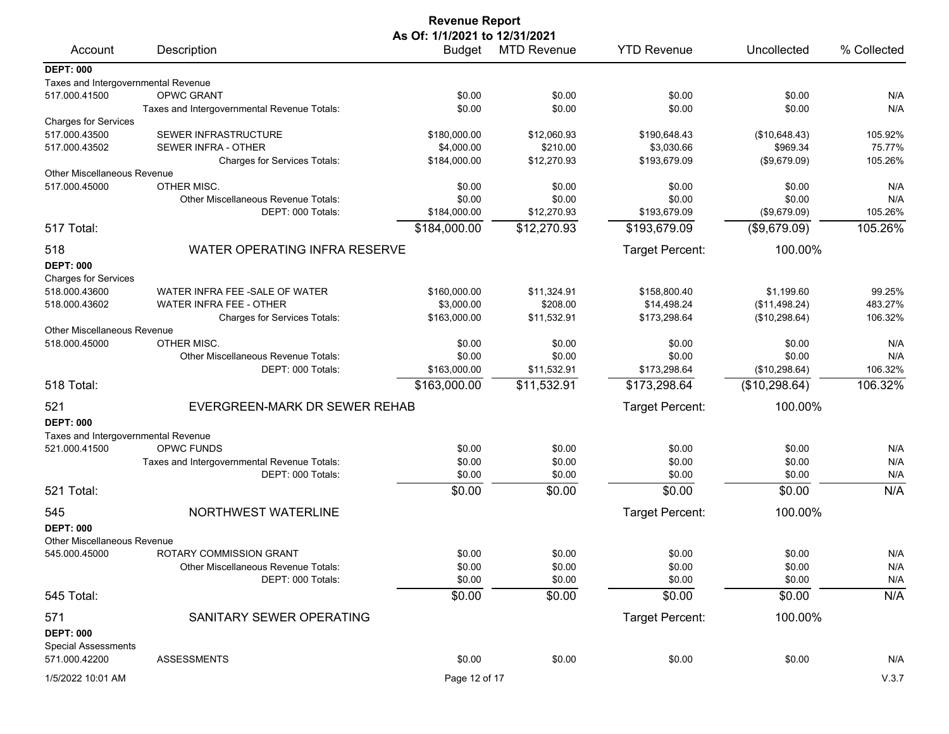|                                             |                                                    | <b>Revenue Report</b> |                    |                    |                  |             |  |  |
|---------------------------------------------|----------------------------------------------------|-----------------------|--------------------|--------------------|------------------|-------------|--|--|
|                                             | As Of: 1/1/2021 to 12/31/2021                      |                       |                    |                    |                  |             |  |  |
| Account                                     | Description                                        | <b>Budget</b>         | <b>MTD Revenue</b> | <b>YTD Revenue</b> | Uncollected      | % Collected |  |  |
| <b>DEPT: 000</b>                            |                                                    |                       |                    |                    |                  |             |  |  |
| Taxes and Intergovernmental Revenue         |                                                    |                       |                    |                    |                  |             |  |  |
| 517.000.41500                               | <b>OPWC GRANT</b>                                  | \$0.00                | \$0.00             | \$0.00             | \$0.00           | N/A         |  |  |
|                                             | Taxes and Intergovernmental Revenue Totals:        | \$0.00                | \$0.00             | \$0.00             | \$0.00           | N/A         |  |  |
| <b>Charges for Services</b>                 |                                                    |                       |                    |                    |                  |             |  |  |
| 517.000.43500                               | SEWER INFRASTRUCTURE                               | \$180,000.00          | \$12,060.93        | \$190,648.43       | (\$10,648.43)    | 105.92%     |  |  |
| 517.000.43502                               | <b>SEWER INFRA - OTHER</b>                         | \$4,000.00            | \$210.00           | \$3,030.66         | \$969.34         | 75.77%      |  |  |
|                                             | Charges for Services Totals:                       | \$184,000.00          | \$12,270.93        | \$193,679.09       | (\$9,679.09)     | 105.26%     |  |  |
| <b>Other Miscellaneous Revenue</b>          |                                                    |                       |                    |                    |                  |             |  |  |
| 517.000.45000                               | OTHER MISC.<br>Other Miscellaneous Revenue Totals: | \$0.00<br>\$0.00      | \$0.00<br>\$0.00   | \$0.00<br>\$0.00   | \$0.00<br>\$0.00 | N/A<br>N/A  |  |  |
|                                             | DEPT: 000 Totals:                                  | \$184,000.00          | \$12,270.93        | \$193,679.09       | (\$9,679.09)     | 105.26%     |  |  |
| 517 Total:                                  |                                                    | \$184,000.00          | \$12,270.93        | \$193,679.09       | (\$9,679.09)     | 105.26%     |  |  |
|                                             |                                                    |                       |                    |                    |                  |             |  |  |
| 518                                         | WATER OPERATING INFRA RESERVE                      |                       |                    | Target Percent:    | 100.00%          |             |  |  |
| <b>DEPT: 000</b>                            |                                                    |                       |                    |                    |                  |             |  |  |
| <b>Charges for Services</b>                 |                                                    |                       |                    |                    |                  |             |  |  |
| 518.000.43600                               | WATER INFRA FEE -SALE OF WATER                     | \$160,000.00          | \$11,324.91        | \$158,800.40       | \$1,199.60       | 99.25%      |  |  |
| 518.000.43602                               | <b>WATER INFRA FEE - OTHER</b>                     | \$3,000.00            | \$208.00           | \$14,498.24        | (\$11,498.24)    | 483.27%     |  |  |
|                                             | Charges for Services Totals:                       | \$163,000.00          | \$11,532.91        | \$173,298.64       | (\$10,298.64)    | 106.32%     |  |  |
| <b>Other Miscellaneous Revenue</b>          |                                                    |                       |                    |                    |                  |             |  |  |
| 518.000.45000                               | OTHER MISC.                                        | \$0.00                | \$0.00             | \$0.00             | \$0.00           | N/A         |  |  |
|                                             | <b>Other Miscellaneous Revenue Totals:</b>         | \$0.00                | \$0.00             | \$0.00             | \$0.00           | N/A         |  |  |
|                                             | DEPT: 000 Totals:                                  | \$163,000.00          | \$11,532.91        | \$173,298.64       | (\$10,298.64)    | 106.32%     |  |  |
| 518 Total:                                  |                                                    | \$163,000.00          | \$11,532.91        | \$173,298.64       | (\$10,298.64)    | 106.32%     |  |  |
| 521                                         | EVERGREEN-MARK DR SEWER REHAB                      |                       |                    | Target Percent:    | 100.00%          |             |  |  |
| <b>DEPT: 000</b>                            |                                                    |                       |                    |                    |                  |             |  |  |
| Taxes and Intergovernmental Revenue         |                                                    |                       |                    |                    |                  |             |  |  |
| 521.000.41500                               | <b>OPWC FUNDS</b>                                  | \$0.00                | \$0.00             | \$0.00             | \$0.00           | N/A         |  |  |
|                                             | Taxes and Intergovernmental Revenue Totals:        | \$0.00                | \$0.00             | \$0.00             | \$0.00           | N/A         |  |  |
|                                             | DEPT: 000 Totals:                                  | \$0.00                | \$0.00             | \$0.00             | \$0.00           | N/A         |  |  |
| 521 Total:                                  |                                                    | \$0.00                | \$0.00             | \$0.00             | \$0.00           | N/A         |  |  |
| 545                                         | NORTHWEST WATERLINE                                |                       |                    | Target Percent:    | 100.00%          |             |  |  |
| <b>DEPT: 000</b>                            |                                                    |                       |                    |                    |                  |             |  |  |
| <b>Other Miscellaneous Revenue</b>          |                                                    |                       |                    |                    |                  |             |  |  |
| 545.000.45000                               | ROTARY COMMISSION GRANT                            | \$0.00                | \$0.00             | \$0.00             | \$0.00           | N/A         |  |  |
|                                             | Other Miscellaneous Revenue Totals:                | \$0.00                | \$0.00             | \$0.00             | \$0.00           | N/A         |  |  |
|                                             | DEPT: 000 Totals:                                  | \$0.00                | \$0.00             | \$0.00             | \$0.00           | N/A         |  |  |
| 545 Total:                                  |                                                    | \$0.00                | \$0.00             | \$0.00             | \$0.00           | N/A         |  |  |
|                                             | SANITARY SEWER OPERATING                           |                       |                    |                    |                  |             |  |  |
| 571                                         |                                                    |                       |                    | Target Percent:    | 100.00%          |             |  |  |
| <b>DEPT: 000</b>                            |                                                    |                       |                    |                    |                  |             |  |  |
| <b>Special Assessments</b><br>571.000.42200 | <b>ASSESSMENTS</b>                                 | \$0.00                | \$0.00             | \$0.00             | \$0.00           | N/A         |  |  |
|                                             |                                                    |                       |                    |                    |                  |             |  |  |
| 1/5/2022 10:01 AM                           |                                                    | Page 12 of 17         |                    |                    |                  | V.3.7       |  |  |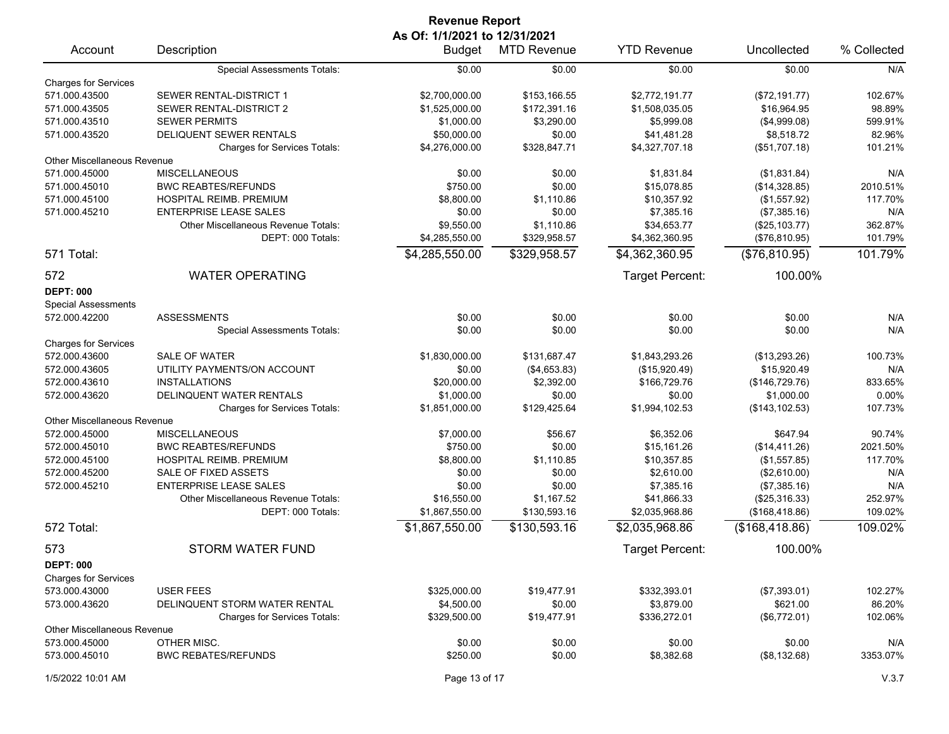| <b>Revenue Report</b>              |                                            |                            |                    |                    |                 |             |  |
|------------------------------------|--------------------------------------------|----------------------------|--------------------|--------------------|-----------------|-------------|--|
| As Of: 1/1/2021 to 12/31/2021      |                                            |                            |                    |                    |                 |             |  |
| Account                            | Description                                | <b>Budget</b>              | <b>MTD Revenue</b> | <b>YTD Revenue</b> | Uncollected     | % Collected |  |
|                                    | <b>Special Assessments Totals:</b>         | \$0.00                     | \$0.00             | \$0.00             | \$0.00          | N/A         |  |
| <b>Charges for Services</b>        |                                            |                            |                    |                    |                 |             |  |
| 571.000.43500                      | SEWER RENTAL-DISTRICT 1                    | \$2,700,000.00             | \$153,166.55       | \$2,772,191.77     | (\$72,191.77)   | 102.67%     |  |
| 571.000.43505                      | SEWER RENTAL-DISTRICT 2                    | \$1,525,000.00             | \$172,391.16       | \$1,508,035.05     | \$16,964.95     | 98.89%      |  |
| 571.000.43510                      | <b>SEWER PERMITS</b>                       | \$1,000.00                 | \$3,290.00         | \$5,999.08         | (\$4,999.08)    | 599.91%     |  |
| 571.000.43520                      | DELIQUENT SEWER RENTALS                    | \$50,000.00                | \$0.00             | \$41,481.28        | \$8,518.72      | 82.96%      |  |
|                                    | <b>Charges for Services Totals:</b>        | \$4,276,000.00             | \$328,847.71       | \$4,327,707.18     | (\$51,707.18)   | 101.21%     |  |
| <b>Other Miscellaneous Revenue</b> |                                            |                            |                    |                    |                 |             |  |
| 571.000.45000                      | <b>MISCELLANEOUS</b>                       | \$0.00                     | \$0.00             | \$1,831.84         | (\$1,831.84)    | N/A         |  |
| 571.000.45010                      | <b>BWC REABTES/REFUNDS</b>                 | \$750.00                   | \$0.00             | \$15,078.85        | (\$14,328.85)   | 2010.51%    |  |
| 571.000.45100                      | HOSPITAL REIMB. PREMIUM                    | \$8,800.00                 | \$1,110.86         | \$10,357.92        | (\$1,557.92)    | 117.70%     |  |
| 571.000.45210                      | <b>ENTERPRISE LEASE SALES</b>              | \$0.00                     | \$0.00             | \$7,385.16         | (\$7,385.16)    | N/A         |  |
|                                    | <b>Other Miscellaneous Revenue Totals:</b> | \$9,550.00                 | \$1,110.86         | \$34,653.77        | (\$25,103.77)   | 362.87%     |  |
|                                    | DEPT: 000 Totals:                          | \$4,285,550.00             | \$329,958.57       | \$4,362,360.95     | (\$76,810.95)   | 101.79%     |  |
| 571 Total:                         |                                            | \$4,285,550.00             | \$329,958.57       | \$4,362,360.95     | (\$76,810.95)   | 101.79%     |  |
| 572                                | <b>WATER OPERATING</b>                     |                            |                    | Target Percent:    | 100.00%         |             |  |
| <b>DEPT: 000</b>                   |                                            |                            |                    |                    |                 |             |  |
|                                    |                                            |                            |                    |                    |                 |             |  |
| <b>Special Assessments</b>         |                                            |                            |                    |                    |                 |             |  |
| 572.000.42200                      | <b>ASSESSMENTS</b>                         | \$0.00                     | \$0.00             | \$0.00             | \$0.00          | N/A         |  |
|                                    | Special Assessments Totals:                | \$0.00                     | \$0.00             | \$0.00             | \$0.00          | N/A         |  |
| <b>Charges for Services</b>        |                                            |                            |                    |                    |                 |             |  |
| 572.000.43600                      | <b>SALE OF WATER</b>                       | \$1,830,000.00             | \$131,687.47       | \$1,843,293.26     | (\$13,293.26)   | 100.73%     |  |
| 572.000.43605                      | UTILITY PAYMENTS/ON ACCOUNT                | \$0.00                     | (\$4,653.83)       | (\$15,920.49)      | \$15,920.49     | N/A         |  |
| 572.000.43610                      | <b>INSTALLATIONS</b>                       | \$20,000.00                | \$2,392.00         | \$166,729.76       | (\$146,729.76)  | 833.65%     |  |
| 572.000.43620                      | DELINQUENT WATER RENTALS                   | \$1,000.00                 | \$0.00             | \$0.00             | \$1,000.00      | 0.00%       |  |
|                                    | Charges for Services Totals:               | \$1,851,000.00             | \$129,425.64       | \$1,994,102.53     | (\$143, 102.53) | 107.73%     |  |
| <b>Other Miscellaneous Revenue</b> |                                            |                            |                    |                    |                 |             |  |
| 572.000.45000                      | <b>MISCELLANEOUS</b>                       | \$7,000.00                 | \$56.67            | \$6,352.06         | \$647.94        | 90.74%      |  |
| 572.000.45010                      | <b>BWC REABTES/REFUNDS</b>                 | \$750.00                   | \$0.00             | \$15,161.26        | (\$14,411.26)   | 2021.50%    |  |
| 572.000.45100                      | HOSPITAL REIMB. PREMIUM                    | \$8,800.00                 | \$1,110.85         | \$10,357.85        | (\$1,557.85)    | 117.70%     |  |
| 572.000.45200                      | SALE OF FIXED ASSETS                       | \$0.00                     | \$0.00             | \$2,610.00         | (\$2,610.00)    | N/A         |  |
| 572.000.45210                      | <b>ENTERPRISE LEASE SALES</b>              | \$0.00                     | \$0.00             | \$7,385.16         | (\$7,385.16)    | N/A         |  |
|                                    | Other Miscellaneous Revenue Totals:        | \$16,550.00                | \$1,167.52         | \$41,866.33        | (\$25,316.33)   | 252.97%     |  |
|                                    | DEPT: 000 Totals:                          | \$1,867,550.00             | \$130,593.16       | \$2,035,968.86     | (\$168,418.86)  | 109.02%     |  |
| 572 Total:                         |                                            | $\overline{$}1,867,550.00$ | \$130,593.16       | \$2,035,968.86     | (\$168,418.86)  | 109.02%     |  |
| 573                                | STORM WATER FUND                           |                            |                    | Target Percent:    | 100.00%         |             |  |
|                                    |                                            |                            |                    |                    |                 |             |  |
| <b>DEPT: 000</b>                   |                                            |                            |                    |                    |                 |             |  |
| <b>Charges for Services</b>        |                                            |                            |                    |                    |                 |             |  |
| 573.000.43000                      | <b>USER FEES</b>                           | \$325,000.00               | \$19,477.91        | \$332,393.01       | (\$7,393.01)    | 102.27%     |  |
| 573.000.43620                      | DELINQUENT STORM WATER RENTAL              | \$4,500.00                 | \$0.00             | \$3,879.00         | \$621.00        | 86.20%      |  |
|                                    | <b>Charges for Services Totals:</b>        | \$329,500.00               | \$19,477.91        | \$336,272.01       | (\$6,772.01)    | 102.06%     |  |
| <b>Other Miscellaneous Revenue</b> |                                            |                            |                    |                    |                 |             |  |
| 573.000.45000                      | OTHER MISC.                                | \$0.00                     | \$0.00             | \$0.00             | \$0.00          | N/A         |  |
| 573.000.45010                      | <b>BWC REBATES/REFUNDS</b>                 | \$250.00                   | \$0.00             | \$8,382.68         | (\$8,132.68)    | 3353.07%    |  |
| 1/5/2022 10:01 AM                  |                                            | Page 13 of 17              |                    |                    |                 | V.3.7       |  |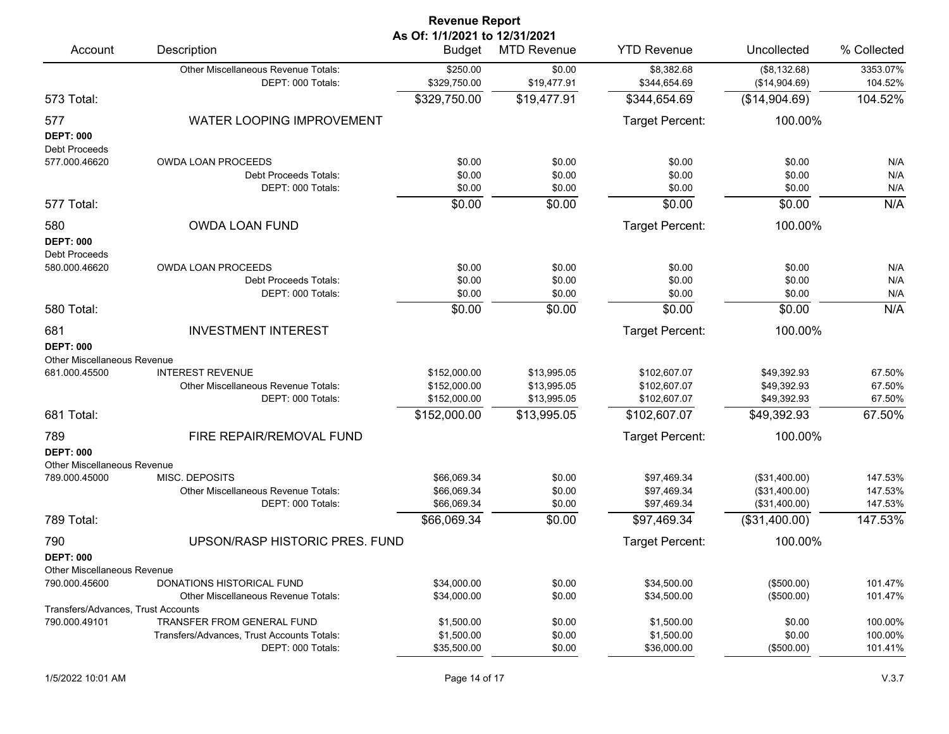| <b>Revenue Report</b>                                         |                                                                                               |                                                |                                           |                                              |                                                 |                               |  |
|---------------------------------------------------------------|-----------------------------------------------------------------------------------------------|------------------------------------------------|-------------------------------------------|----------------------------------------------|-------------------------------------------------|-------------------------------|--|
| Account                                                       | Description                                                                                   | As Of: 1/1/2021 to 12/31/2021<br><b>Budget</b> | <b>MTD Revenue</b>                        | <b>YTD Revenue</b>                           | Uncollected                                     | % Collected                   |  |
|                                                               | Other Miscellaneous Revenue Totals:<br>DEPT: 000 Totals:                                      | \$250.00<br>\$329,750.00                       | \$0.00<br>\$19,477.91                     | \$8,382.68<br>\$344,654.69                   | (\$8,132.68)<br>(\$14,904.69)                   | 3353.07%<br>104.52%           |  |
| 573 Total:                                                    |                                                                                               | \$329,750.00                                   | \$19,477.91                               | \$344,654.69                                 | (\$14,904.69)                                   | 104.52%                       |  |
| 577<br><b>DEPT: 000</b><br><b>Debt Proceeds</b>               | WATER LOOPING IMPROVEMENT                                                                     |                                                |                                           | Target Percent:                              | 100.00%                                         |                               |  |
| 577.000.46620                                                 | <b>OWDA LOAN PROCEEDS</b><br><b>Debt Proceeds Totals:</b><br>DEPT: 000 Totals:                | \$0.00<br>\$0.00<br>\$0.00                     | \$0.00<br>\$0.00<br>\$0.00                | \$0.00<br>\$0.00<br>\$0.00                   | \$0.00<br>\$0.00<br>\$0.00                      | N/A<br>N/A<br>N/A             |  |
| 577 Total:                                                    |                                                                                               | \$0.00                                         | \$0.00                                    | \$0.00                                       | \$0.00                                          | N/A                           |  |
| 580<br><b>DEPT: 000</b><br>Debt Proceeds                      | <b>OWDA LOAN FUND</b>                                                                         |                                                |                                           | Target Percent:                              | 100.00%                                         |                               |  |
| 580.000.46620                                                 | OWDA LOAN PROCEEDS<br>Debt Proceeds Totals:<br>DEPT: 000 Totals:                              | \$0.00<br>\$0.00<br>\$0.00                     | \$0.00<br>\$0.00<br>\$0.00                | \$0.00<br>\$0.00<br>\$0.00                   | \$0.00<br>\$0.00<br>\$0.00                      | N/A<br>N/A<br>N/A             |  |
| 580 Total:                                                    |                                                                                               | \$0.00                                         | \$0.00                                    | \$0.00                                       | \$0.00                                          | N/A                           |  |
| 681<br><b>DEPT: 000</b><br><b>Other Miscellaneous Revenue</b> | <b>INVESTMENT INTEREST</b>                                                                    |                                                |                                           | Target Percent:                              | 100.00%                                         |                               |  |
| 681.000.45500                                                 | <b>INTEREST REVENUE</b><br>Other Miscellaneous Revenue Totals:<br>DEPT: 000 Totals:           | \$152,000.00<br>\$152,000.00<br>\$152,000.00   | \$13,995.05<br>\$13,995.05<br>\$13,995.05 | \$102,607.07<br>\$102,607.07<br>\$102,607.07 | \$49,392.93<br>\$49,392.93<br>\$49,392.93       | 67.50%<br>67.50%<br>67.50%    |  |
| 681 Total:                                                    |                                                                                               | \$152,000.00                                   | \$13,995.05                               | \$102,607.07                                 | \$49,392.93                                     | 67.50%                        |  |
| 789<br><b>DEPT: 000</b><br>Other Miscellaneous Revenue        | FIRE REPAIR/REMOVAL FUND                                                                      |                                                |                                           | Target Percent:                              | 100.00%                                         |                               |  |
| 789.000.45000                                                 | MISC. DEPOSITS<br>Other Miscellaneous Revenue Totals:<br>DEPT: 000 Totals:                    | \$66,069.34<br>\$66,069.34<br>\$66,069.34      | \$0.00<br>\$0.00<br>\$0.00                | \$97,469.34<br>\$97,469.34<br>\$97,469.34    | (\$31,400.00)<br>(\$31,400.00)<br>(\$31,400.00) | 147.53%<br>147.53%<br>147.53% |  |
| 789 Total:                                                    |                                                                                               | \$66,069.34                                    | \$0.00                                    | \$97,469.34                                  | (\$31,400.00)                                   | 147.53%                       |  |
| 790<br><b>DEPT: 000</b><br><b>Other Miscellaneous Revenue</b> | UPSON/RASP HISTORIC PRES. FUND                                                                |                                                |                                           | Target Percent:                              | 100.00%                                         |                               |  |
| 790.000.45600                                                 | DONATIONS HISTORICAL FUND<br>Other Miscellaneous Revenue Totals:                              | \$34,000.00<br>\$34,000.00                     | \$0.00<br>\$0.00                          | \$34,500.00<br>\$34,500.00                   | (\$500.00)<br>(\$500.00)                        | 101.47%<br>101.47%            |  |
| Transfers/Advances, Trust Accounts<br>790.000.49101           | TRANSFER FROM GENERAL FUND<br>Transfers/Advances, Trust Accounts Totals:<br>DEPT: 000 Totals: | \$1,500.00<br>\$1,500.00<br>\$35,500.00        | \$0.00<br>\$0.00<br>\$0.00                | \$1,500.00<br>\$1,500.00<br>\$36,000.00      | \$0.00<br>\$0.00<br>(\$500.00)                  | 100.00%<br>100.00%<br>101.41% |  |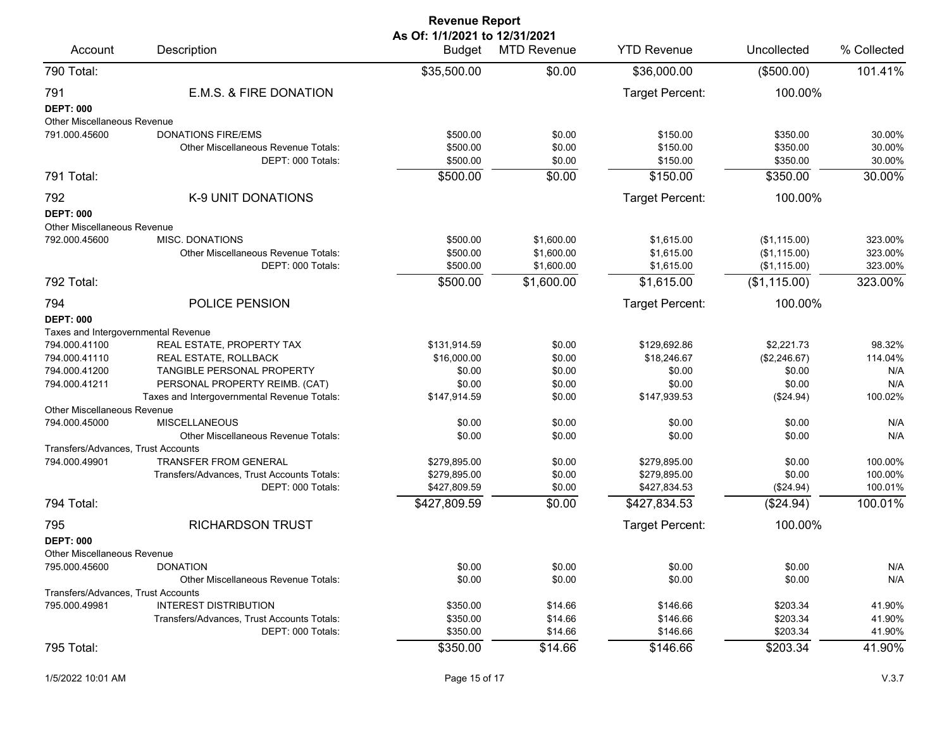| <b>Revenue Report</b>                           |                                                                                              |                                         |                                        |                                        |                                              |                               |  |
|-------------------------------------------------|----------------------------------------------------------------------------------------------|-----------------------------------------|----------------------------------------|----------------------------------------|----------------------------------------------|-------------------------------|--|
| Account                                         | Description                                                                                  | As Of: 1/1/2021 to 12/31/2021<br>Budget | <b>MTD Revenue</b>                     | <b>YTD Revenue</b>                     | Uncollected                                  | % Collected                   |  |
| 790 Total:                                      |                                                                                              | \$35,500.00                             | \$0.00                                 | \$36,000.00                            | (\$500.00)                                   | 101.41%                       |  |
| 791<br><b>DEPT: 000</b>                         | E.M.S. & FIRE DONATION                                                                       |                                         |                                        | Target Percent:                        | 100.00%                                      |                               |  |
| Other Miscellaneous Revenue                     |                                                                                              |                                         |                                        |                                        |                                              |                               |  |
| 791.000.45600                                   | <b>DONATIONS FIRE/EMS</b><br><b>Other Miscellaneous Revenue Totals:</b><br>DEPT: 000 Totals: | \$500.00<br>\$500.00<br>\$500.00        | \$0.00<br>\$0.00<br>\$0.00             | \$150.00<br>\$150.00<br>\$150.00       | \$350.00<br>\$350.00<br>\$350.00             | 30.00%<br>30.00%<br>30.00%    |  |
| 791 Total:                                      |                                                                                              | \$500.00                                | \$0.00                                 | \$150.00                               | \$350.00                                     | 30.00%                        |  |
| 792                                             | K-9 UNIT DONATIONS                                                                           |                                         |                                        | Target Percent:                        | 100.00%                                      |                               |  |
| <b>DEPT: 000</b><br>Other Miscellaneous Revenue |                                                                                              |                                         |                                        |                                        |                                              |                               |  |
| 792.000.45600                                   | MISC. DONATIONS<br>Other Miscellaneous Revenue Totals:<br>DEPT: 000 Totals:                  | \$500.00<br>\$500.00<br>\$500.00        | \$1,600.00<br>\$1,600.00<br>\$1,600.00 | \$1,615.00<br>\$1,615.00<br>\$1,615.00 | (\$1,115.00)<br>(\$1,115.00)<br>(\$1,115.00) | 323.00%<br>323.00%<br>323.00% |  |
| 792 Total:                                      |                                                                                              | \$500.00                                | \$1,600.00                             | \$1,615.00                             | (\$1,115.00)                                 | 323.00%                       |  |
| 794                                             | POLICE PENSION                                                                               |                                         |                                        | Target Percent:                        | 100.00%                                      |                               |  |
| <b>DEPT: 000</b>                                |                                                                                              |                                         |                                        |                                        |                                              |                               |  |
| Taxes and Intergovernmental Revenue             |                                                                                              |                                         |                                        |                                        |                                              |                               |  |
| 794.000.41100                                   | REAL ESTATE, PROPERTY TAX                                                                    | \$131,914.59                            | \$0.00                                 | \$129,692.86                           | \$2,221.73                                   | 98.32%                        |  |
| 794.000.41110                                   | REAL ESTATE, ROLLBACK                                                                        | \$16,000.00                             | \$0.00                                 | \$18,246.67                            | (\$2,246.67)                                 | 114.04%                       |  |
| 794.000.41200                                   | TANGIBLE PERSONAL PROPERTY                                                                   | \$0.00                                  | \$0.00                                 | \$0.00                                 | \$0.00                                       | N/A                           |  |
| 794.000.41211                                   | PERSONAL PROPERTY REIMB. (CAT)                                                               | \$0.00                                  | \$0.00                                 | \$0.00                                 | \$0.00                                       | N/A                           |  |
|                                                 | Taxes and Intergovernmental Revenue Totals:                                                  | \$147,914.59                            | \$0.00                                 | \$147,939.53                           | (\$24.94)                                    | 100.02%                       |  |
| <b>Other Miscellaneous Revenue</b>              |                                                                                              |                                         |                                        |                                        |                                              |                               |  |
| 794.000.45000                                   | <b>MISCELLANEOUS</b><br>Other Miscellaneous Revenue Totals:                                  | \$0.00<br>\$0.00                        | \$0.00<br>\$0.00                       | \$0.00<br>\$0.00                       | \$0.00<br>\$0.00                             | N/A<br>N/A                    |  |
| Transfers/Advances, Trust Accounts              |                                                                                              |                                         |                                        |                                        |                                              |                               |  |
| 794.000.49901                                   | <b>TRANSFER FROM GENERAL</b>                                                                 | \$279,895.00                            | \$0.00                                 | \$279,895.00                           | \$0.00                                       | 100.00%                       |  |
|                                                 | Transfers/Advances, Trust Accounts Totals:                                                   | \$279,895.00                            | \$0.00                                 | \$279,895.00                           | \$0.00                                       | 100.00%                       |  |
|                                                 | DEPT: 000 Totals:                                                                            | \$427,809.59                            | \$0.00                                 | \$427,834.53                           | (\$24.94)                                    | 100.01%                       |  |
| 794 Total:                                      |                                                                                              | \$427,809.59                            | \$0.00                                 | \$427,834.53                           | (\$24.94)                                    | 100.01%                       |  |
| 795                                             | <b>RICHARDSON TRUST</b>                                                                      |                                         |                                        | Target Percent:                        | 100.00%                                      |                               |  |
| <b>DEPT: 000</b>                                |                                                                                              |                                         |                                        |                                        |                                              |                               |  |
| Other Miscellaneous Revenue                     |                                                                                              |                                         |                                        |                                        |                                              |                               |  |
| 795.000.45600                                   | <b>DONATION</b>                                                                              | \$0.00                                  | \$0.00                                 | \$0.00                                 | \$0.00                                       | N/A                           |  |
|                                                 | <b>Other Miscellaneous Revenue Totals:</b>                                                   | \$0.00                                  | \$0.00                                 | \$0.00                                 | \$0.00                                       | N/A                           |  |
| Transfers/Advances, Trust Accounts              |                                                                                              |                                         |                                        |                                        |                                              |                               |  |
| 795.000.49981                                   | <b>INTEREST DISTRIBUTION</b>                                                                 | \$350.00                                | \$14.66                                | \$146.66                               | \$203.34                                     | 41.90%                        |  |
|                                                 | Transfers/Advances, Trust Accounts Totals:                                                   | \$350.00                                | \$14.66                                | \$146.66                               | \$203.34                                     | 41.90%                        |  |
|                                                 | DEPT: 000 Totals:                                                                            | \$350.00                                | \$14.66                                | \$146.66                               | \$203.34                                     | 41.90%                        |  |
| 795 Total:                                      |                                                                                              | \$350.00                                | \$14.66                                | \$146.66                               | \$203.34                                     | 41.90%                        |  |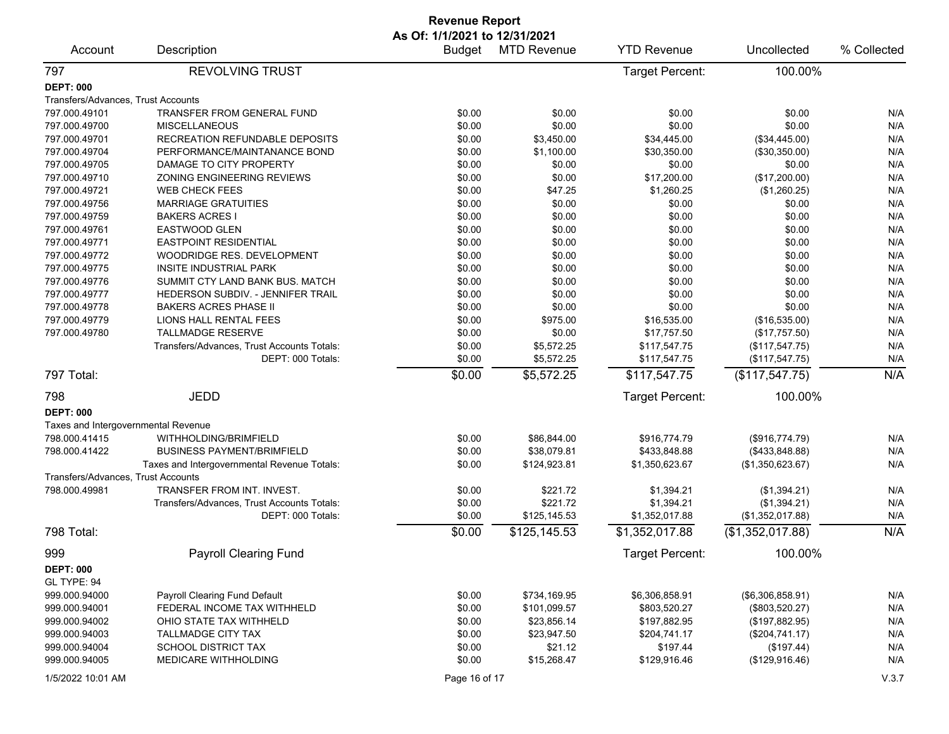|                                     |                                             | <b>Revenue Report</b> |                    |                    |                  |             |  |
|-------------------------------------|---------------------------------------------|-----------------------|--------------------|--------------------|------------------|-------------|--|
| As Of: 1/1/2021 to 12/31/2021       |                                             |                       |                    |                    |                  |             |  |
| Account                             | Description                                 | <b>Budget</b>         | <b>MTD Revenue</b> | <b>YTD Revenue</b> | Uncollected      | % Collected |  |
| 797                                 | <b>REVOLVING TRUST</b>                      |                       |                    | Target Percent:    | 100.00%          |             |  |
| <b>DEPT: 000</b>                    |                                             |                       |                    |                    |                  |             |  |
| Transfers/Advances, Trust Accounts  |                                             |                       |                    |                    |                  |             |  |
| 797.000.49101                       | TRANSFER FROM GENERAL FUND                  | \$0.00                | \$0.00             | \$0.00             | \$0.00           | N/A         |  |
| 797.000.49700                       | <b>MISCELLANEOUS</b>                        | \$0.00                | \$0.00             | \$0.00             | \$0.00           | N/A         |  |
| 797.000.49701                       | RECREATION REFUNDABLE DEPOSITS              | \$0.00                | \$3,450.00         | \$34,445.00        | (\$34,445.00)    | N/A         |  |
| 797.000.49704                       | PERFORMANCE/MAINTANANCE BOND                | \$0.00                | \$1,100.00         | \$30,350.00        | (\$30,350.00)    | N/A         |  |
| 797.000.49705                       | DAMAGE TO CITY PROPERTY                     | \$0.00                | \$0.00             | \$0.00             | \$0.00           | N/A         |  |
| 797.000.49710                       | ZONING ENGINEERING REVIEWS                  | \$0.00                | \$0.00             | \$17,200.00        | (\$17,200.00)    | N/A         |  |
| 797.000.49721                       | <b>WEB CHECK FEES</b>                       | \$0.00                | \$47.25            | \$1,260.25         | (\$1,260.25)     | N/A         |  |
| 797.000.49756                       | <b>MARRIAGE GRATUITIES</b>                  | \$0.00                | \$0.00             | \$0.00             | \$0.00           | N/A         |  |
| 797.000.49759                       | <b>BAKERS ACRES I</b>                       | \$0.00                | \$0.00             | \$0.00             | \$0.00           | N/A         |  |
| 797.000.49761                       | EASTWOOD GLEN                               | \$0.00                | \$0.00             | \$0.00             | \$0.00           | N/A         |  |
| 797.000.49771                       | <b>EASTPOINT RESIDENTIAL</b>                | \$0.00                | \$0.00             | \$0.00             | \$0.00           | N/A         |  |
| 797.000.49772                       | WOODRIDGE RES. DEVELOPMENT                  | \$0.00                | \$0.00             | \$0.00             | \$0.00           | N/A         |  |
|                                     | INSITE INDUSTRIAL PARK                      |                       |                    |                    |                  |             |  |
| 797.000.49775                       |                                             | \$0.00                | \$0.00             | \$0.00             | \$0.00           | N/A         |  |
| 797.000.49776                       | SUMMIT CTY LAND BANK BUS. MATCH             | \$0.00                | \$0.00             | \$0.00             | \$0.00           | N/A         |  |
| 797.000.49777                       | HEDERSON SUBDIV. - JENNIFER TRAIL           | \$0.00                | \$0.00             | \$0.00             | \$0.00           | N/A         |  |
| 797.000.49778                       | <b>BAKERS ACRES PHASE II</b>                | \$0.00                | \$0.00             | \$0.00             | \$0.00           | N/A         |  |
| 797.000.49779                       | LIONS HALL RENTAL FEES                      | \$0.00                | \$975.00           | \$16,535.00        | (\$16,535.00)    | N/A         |  |
| 797.000.49780                       | TALLMADGE RESERVE                           | \$0.00                | \$0.00             | \$17,757.50        | (\$17,757.50)    | N/A         |  |
|                                     | Transfers/Advances, Trust Accounts Totals:  | \$0.00                | \$5,572.25         | \$117,547.75       | (\$117,547.75)   | N/A         |  |
|                                     | DEPT: 000 Totals:                           | \$0.00                | \$5,572.25         | \$117,547.75       | (\$117,547.75)   | N/A         |  |
| 797 Total:                          |                                             | \$0.00                | \$5,572.25         | \$117,547.75       | (\$117,547.75)   | N/A         |  |
| 798                                 | <b>JEDD</b>                                 |                       |                    | Target Percent:    | 100.00%          |             |  |
| <b>DEPT: 000</b>                    |                                             |                       |                    |                    |                  |             |  |
| Taxes and Intergovernmental Revenue |                                             |                       |                    |                    |                  |             |  |
| 798.000.41415                       | WITHHOLDING/BRIMFIELD                       | \$0.00                | \$86,844.00        | \$916,774.79       | (\$916,774.79)   | N/A         |  |
| 798.000.41422                       | <b>BUSINESS PAYMENT/BRIMFIELD</b>           | \$0.00                | \$38,079.81        | \$433,848.88       | (\$433,848.88)   | N/A         |  |
|                                     | Taxes and Intergovernmental Revenue Totals: | \$0.00                | \$124,923.81       | \$1,350,623.67     | (\$1,350,623.67) | N/A         |  |
| Transfers/Advances, Trust Accounts  |                                             |                       |                    |                    |                  |             |  |
| 798.000.49981                       | TRANSFER FROM INT. INVEST.                  | \$0.00                | \$221.72           | \$1,394.21         | (\$1,394.21)     | N/A         |  |
|                                     | Transfers/Advances, Trust Accounts Totals:  | \$0.00                | \$221.72           | \$1,394.21         | (\$1,394.21)     | N/A         |  |
|                                     | DEPT: 000 Totals:                           | \$0.00                | \$125,145.53       | \$1,352,017.88     | (\$1,352,017.88) | N/A         |  |
| 798 Total:                          |                                             | \$0.00                | \$125,145.53       | \$1,352,017.88     | (\$1,352,017.88) | N/A         |  |
| 999                                 | <b>Payroll Clearing Fund</b>                |                       |                    | Target Percent:    | 100.00%          |             |  |
| <b>DEPT: 000</b>                    |                                             |                       |                    |                    |                  |             |  |
| GL TYPE: 94                         |                                             |                       |                    |                    |                  |             |  |
| 999.000.94000                       | Payroll Clearing Fund Default               | \$0.00                | \$734,169.95       | \$6,306,858.91     | (\$6,306,858.91) | N/A         |  |
| 999.000.94001                       | FEDERAL INCOME TAX WITHHELD                 | \$0.00                | \$101,099.57       | \$803,520.27       | (\$803,520.27)   | N/A         |  |
| 999.000.94002                       | OHIO STATE TAX WITHHELD                     | \$0.00                | \$23,856.14        | \$197,882.95       | (\$197,882.95)   | N/A         |  |
| 999.000.94003                       | TALLMADGE CITY TAX                          | \$0.00                | \$23,947.50        | \$204,741.17       | (\$204,741.17)   | N/A         |  |
| 999.000.94004                       | <b>SCHOOL DISTRICT TAX</b>                  | \$0.00                | \$21.12            | \$197.44           | (\$197.44)       | N/A         |  |
| 999.000.94005                       | MEDICARE WITHHOLDING                        | \$0.00                | \$15,268.47        | \$129,916.46       | (\$129,916.46)   | N/A         |  |
|                                     |                                             |                       |                    |                    |                  |             |  |
| 1/5/2022 10:01 AM                   |                                             | Page 16 of 17         |                    |                    |                  | V.3.7       |  |